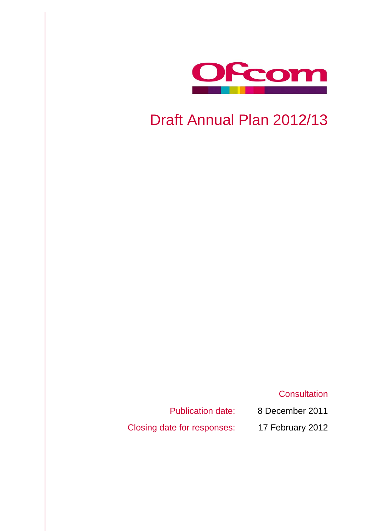

# Draft Annual Plan 2012/13

**Consultation** 

Publication date: 8 December 2011

Closing date for responses: 17 February 2012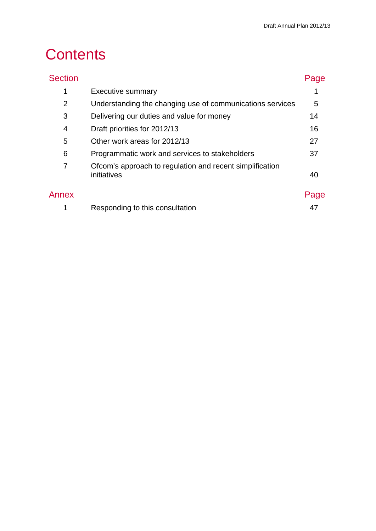# **Contents**

| <b>Section</b> |                                                                         | Page |
|----------------|-------------------------------------------------------------------------|------|
| 1              | <b>Executive summary</b>                                                |      |
| $\overline{2}$ | Understanding the changing use of communications services               | 5    |
| 3              | Delivering our duties and value for money                               | 14   |
| 4              | Draft priorities for 2012/13                                            | 16   |
| 5              | Other work areas for 2012/13                                            | 27   |
| 6              | Programmatic work and services to stakeholders                          | 37   |
| 7              | Ofcom's approach to regulation and recent simplification<br>initiatives | 40   |
| Annex          |                                                                         | Page |
|                | Responding to this consultation                                         | 47   |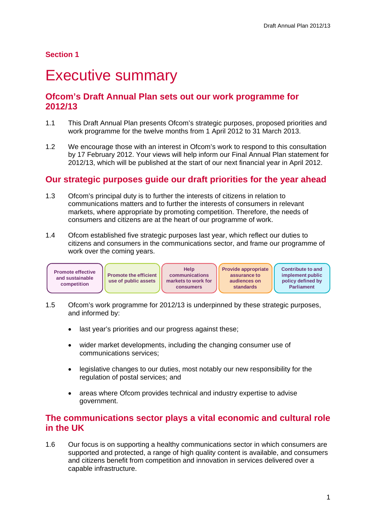## **Section 1**

# <span id="page-3-0"></span>**Executive summary**

# **Ofcom's Draft Annual Plan sets out our work programme for 2012/13**

- 1.1 This Draft Annual Plan presents Ofcom's strategic purposes, proposed priorities and work programme for the twelve months from 1 April 2012 to 31 March 2013.
- 1.2 We encourage those with an interest in Ofcom's work to respond to this consultation by 17 February 2012. Your views will help inform our Final Annual Plan statement for 2012/13, which will be published at the start of our next financial year in April 2012.

# **Our strategic purposes guide our draft priorities for the year ahead**

- 1.3 Ofcom's principal duty is to further the interests of citizens in relation to communications matters and to further the interests of consumers in relevant markets, where appropriate by promoting competition. Therefore, the needs of consumers and citizens are at the heart of our programme of work.
- 1.4 Ofcom established five strategic purposes last year, which reflect our duties to citizens and consumers in the communications sector, and frame our programme of work over the coming years.



- 1.5 Ofcom's work programme for 2012/13 is underpinned by these strategic purposes, and informed by:
	- last vear's priorities and our progress against these:
	- wider market developments, including the changing consumer use of communications services;
	- legislative changes to our duties, most notably our new responsibility for the regulation of postal services; and
	- areas where Ofcom provides technical and industry expertise to advise government.

## **The communications sector plays a vital economic and cultural role in the UK**

1.6 Our focus is on supporting a healthy communications sector in which consumers are supported and protected, a range of high quality content is available, and consumers and citizens benefit from competition and innovation in services delivered over a capable infrastructure.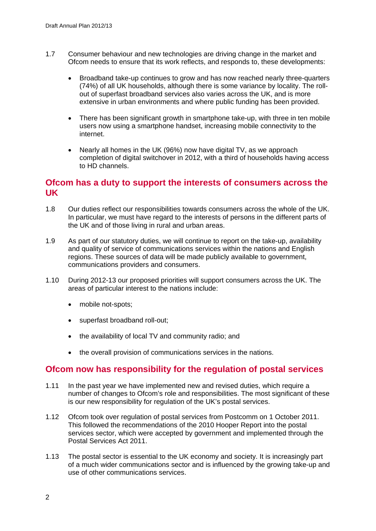- 1.7 Consumer behaviour and new technologies are driving change in the market and Ofcom needs to ensure that its work reflects, and responds to, these developments:
	- Broadband take-up continues to grow and has now reached nearly three-quarters (74%) of all UK households, although there is some variance by locality. The rollout of superfast broadband services also varies across the UK, and is more extensive in urban environments and where public funding has been provided.
	- There has been significant growth in smartphone take-up, with three in ten mobile users now using a smartphone handset, increasing mobile connectivity to the internet.
	- Nearly all homes in the UK (96%) now have digital TV, as we approach completion of digital switchover in 2012, with a third of households having access to HD channels.

# **Ofcom has a duty to support the interests of consumers across the UK**

- 1.8 Our duties reflect our responsibilities towards consumers across the whole of the UK. In particular, we must have regard to the interests of persons in the different parts of the UK and of those living in rural and urban areas.
- 1.9 As part of our statutory duties, we will continue to report on the take-up, availability and quality of service of communications services within the nations and English regions. These sources of data will be made publicly available to government, communications providers and consumers.
- 1.10 During 2012-13 our proposed priorities will support consumers across the UK. The areas of particular interest to the nations include:
	- mobile not-spots;
	- superfast broadband roll-out;
	- the availability of local TV and community radio; and
	- the overall provision of communications services in the nations.

## **Ofcom now has responsibility for the regulation of postal services**

- 1.11 In the past year we have implemented new and revised duties, which require a number of changes to Ofcom's role and responsibilities. The most significant of these is our new responsibility for regulation of the UK's postal services.
- 1.12 Ofcom took over regulation of postal services from Postcomm on 1 October 2011. This followed the recommendations of the 2010 Hooper Report into the postal services sector, which were accepted by government and implemented through the Postal Services Act 2011.
- 1.13 The postal sector is essential to the UK economy and society. It is increasingly part of a much wider communications sector and is influenced by the growing take-up and use of other communications services.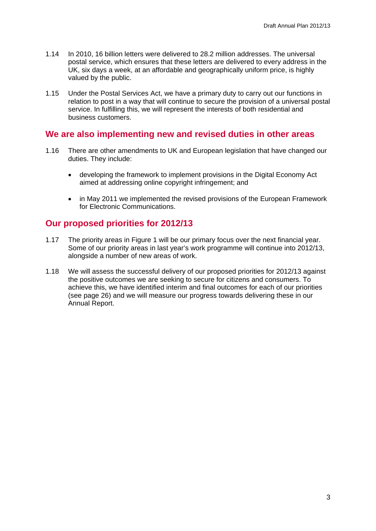- 1.14 In 2010, 16 billion letters were delivered to 28.2 million addresses. The universal postal service, which ensures that these letters are delivered to every address in the UK, six days a week, at an affordable and geographically uniform price, is highly valued by the public.
- 1.15 Under the Postal Services Act, we have a primary duty to carry out our functions in relation to post in a way that will continue to secure the provision of a universal postal service. In fulfilling this, we will represent the interests of both residential and business customers.

## **We are also implementing new and revised duties in other areas**

- 1.16 There are other amendments to UK and European legislation that have changed our duties. They include:
	- developing the framework to implement provisions in the Digital Economy Act aimed at addressing online copyright infringement; and
	- in May 2011 we implemented the revised provisions of the European Framework for Electronic Communications.

## **Our proposed priorities for 2012/13**

- 1.17 The priority areas in Figure 1 will be our primary focus over the next financial year. Some of our priority areas in last year's work programme will continue into 2012/13, alongside a number of new areas of work.
- 1.18 We will assess the successful delivery of our proposed priorities for 2012/13 against the positive outcomes we are seeking to secure for citizens and consumers. To achieve this, we have identified interim and final outcomes for each of our priorities (see page 26) and we will measure our progress towards delivering these in our Annual Report.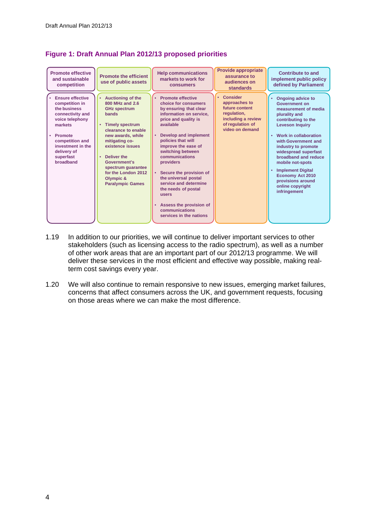| <b>Promote effective</b><br>and sustainable<br>competition                                                                                                                                              | <b>Promote the efficient</b><br>use of public assets                                                                                                                                                                                                                                                                    | <b>Help communications</b><br>markets to work for<br>consumers                                                                                                                                                                                                                                                                                                                                                                                                  | Provide appropriate<br>assurance to<br>audiences on<br>standards                                                               | <b>Contribute to and</b><br>implement public policy<br>defined by Parliament                                                                                                                                                                                                                                                                                                                                            |
|---------------------------------------------------------------------------------------------------------------------------------------------------------------------------------------------------------|-------------------------------------------------------------------------------------------------------------------------------------------------------------------------------------------------------------------------------------------------------------------------------------------------------------------------|-----------------------------------------------------------------------------------------------------------------------------------------------------------------------------------------------------------------------------------------------------------------------------------------------------------------------------------------------------------------------------------------------------------------------------------------------------------------|--------------------------------------------------------------------------------------------------------------------------------|-------------------------------------------------------------------------------------------------------------------------------------------------------------------------------------------------------------------------------------------------------------------------------------------------------------------------------------------------------------------------------------------------------------------------|
| <b>Ensure effective</b><br>competition in<br>the business<br>connectivity and<br>voice telephony<br>markets<br>Promote<br>competition and<br>investment in the<br>delivery of<br>superfast<br>broadband | <b>Auctioning of the</b><br>800 MHz and 2.6<br><b>GHz spectrum</b><br><b>bands</b><br><b>Timely spectrum</b><br>clearance to enable<br>new awards, while<br>mitigating co-<br>existence issues<br>Deliver the<br>٠<br>Government's<br>spectrum quarantee<br>for the London 2012<br>Olympic &<br><b>Paralympic Games</b> | <b>Promote effective</b><br>choice for consumers<br>by ensuring that clear<br>information on service,<br>price and quality is<br>available<br>Develop and implement<br>policies that will<br>improve the ease of<br>switching between<br>communications<br>providers<br>Secure the provision of<br>the universal postal<br>service and determine<br>the needs of postal<br><b>users</b><br>Assess the provision of<br>communications<br>services in the nations | <b>Consider</b><br>approaches to<br>future content<br>regulation,<br>including a review<br>of regulation of<br>video on demand | <b>Ongoing advice to</b><br><b>Government on</b><br>measurement of media<br>plurality and<br>contributing to the<br><b>Leveson Inquiry</b><br>Work in collaboration<br>$\bullet$<br>with Government and<br>industry to promote<br>widespread superfast<br>broadband and reduce<br>mobile not-spots<br><b>Implement Digital</b><br>٠<br><b>Economy Act 2010</b><br>provisions around<br>online copyright<br>infringement |

## **Figure 1: Draft Annual Plan 2012/13 proposed priorities**

- 1.19 In addition to our priorities, we will continue to deliver important services to other stakeholders (such as licensing access to the radio spectrum), as well as a number of other work areas that are an important part of our 2012/13 programme. We will deliver these services in the most efficient and effective way possible, making realterm cost savings every year.
- 1.20 We will also continue to remain responsive to new issues, emerging market failures, concerns that affect consumers across the UK, and government requests, focusing on those areas where we can make the most difference.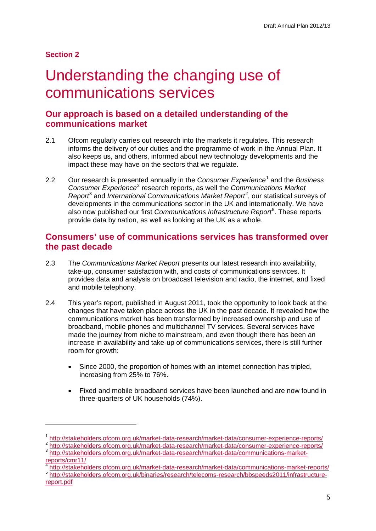## **Section 2**

-

# <span id="page-7-0"></span>Understanding the changing use of communications services

# **Our approach is based on a detailed understanding of the communications market**

- 2.1 Ofcom regularly carries out research into the markets it regulates. This research informs the delivery of our duties and the programme of work in the Annual Plan. It also keeps us, and others, informed about new technology developments and the impact these may have on the sectors that we regulate.
- 2.2 Our research is presented annually in the *Consumer Experience*[1](#page-7-1) and the *Business Consumer Experience*[2](#page-7-2) research reports, as well the *Communications Market Report*[3](#page-7-3) and *International Communications Market Report[4](#page-7-4)* , our statistical surveys of developments in the communications sector in the UK and internationally. We have also now published our first *Communications Infrastructure Report*[5](#page-7-5) . These reports provide data by nation, as well as looking at the UK as a whole.

# **Consumers' use of communications services has transformed over the past decade**

- 2.3 The *Communications Market Report* presents our latest research into availability, take-up, consumer satisfaction with, and costs of communications services. It provides data and analysis on broadcast television and radio, the internet, and fixed and mobile telephony.
- 2.4 This year's report, published in August 2011, took the opportunity to look back at the changes that have taken place across the UK in the past decade. It revealed how the communications market has been transformed by increased ownership and use of broadband, mobile phones and multichannel TV services. Several services have made the journey from niche to mainstream, and even though there has been an increase in availability and take-up of communications services, there is still further room for growth:
	- Since 2000, the proportion of homes with an internet connection has tripled, increasing from 25% to 76%.
	- Fixed and mobile broadband services have been launched and are now found in three-quarters of UK households (74%).

<span id="page-7-1"></span> $\frac{1}{2} \frac{\text{http://stakeholders.ofcom.org.uk/marker-data-research/marker-data-consumer-experience-reports/}{\text{http://stakeholders.ofcom.org.uk/marker-data-research/marker-data-consumer-experience-reports/}}{\text{http://stakeholders.ofcom.org.uk/marker-data-research/marker-data-consumer-experience-reports/}}$ 

<span id="page-7-3"></span><span id="page-7-2"></span>[reports/cmr11/](http://stakeholders.ofcom.org.uk/market-data-research/market-data/communications-market-reports/cmr11/)<br>
<sup>4</sup>http://stakeholders.ofcom.org.uk/market-data-research/market-data/communications-market-reports/

<span id="page-7-4"></span>

<span id="page-7-5"></span><sup>5</sup> [http://stakeholders.ofcom.org.uk/binaries/research/telecoms-research/bbspeeds2011/infrastructure](http://stakeholders.ofcom.org.uk/binaries/research/telecoms-research/bbspeeds2011/infrastructure-report.pdf)[report.pdf](http://stakeholders.ofcom.org.uk/binaries/research/telecoms-research/bbspeeds2011/infrastructure-report.pdf)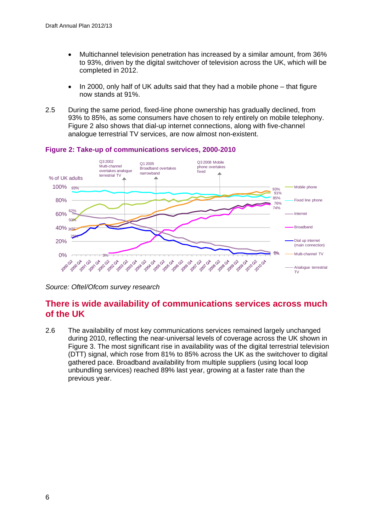- Multichannel television penetration has increased by a similar amount, from 36% to 93%, driven by the digital switchover of television across the UK, which will be completed in 2012.
- In 2000, only half of UK adults said that they had a mobile phone that figure now stands at 91%.
- 2.5 During the same period, fixed-line phone ownership has gradually declined, from 93% to 85%, as some consumers have chosen to rely entirely on mobile telephony. Figure 2 also shows that dial-up internet connections, along with five-channel analogue terrestrial TV services, are now almost non-existent.



#### **Figure 2: Take-up of communications services, 2000-2010**

*Source: Oftel/Ofcom survey research*

# **There is wide availability of communications services across much of the UK**

2.6 The availability of most key communications services remained largely unchanged during 2010, reflecting the near-universal levels of coverage across the UK shown in Figure 3. The most significant rise in availability was of the digital terrestrial television (DTT) signal, which rose from 81% to 85% across the UK as the switchover to digital gathered pace. Broadband availability from multiple suppliers (using local loop unbundling services) reached 89% last year, growing at a faster rate than the previous year.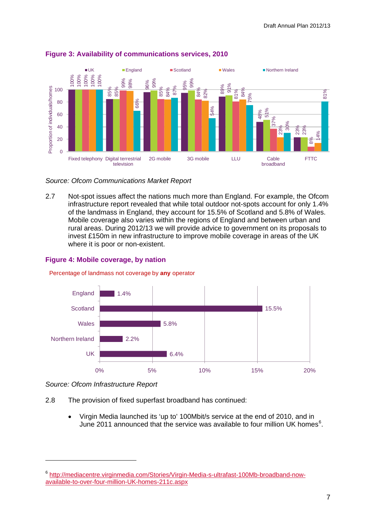

#### **Figure 3: Availability of communications services, 2010**

### *Source: Ofcom Communications Market Report*

2.7 Not-spot issues affect the nations much more than England. For example, the Ofcom infrastructure report revealed that while total outdoor not-spots account for only 1.4% of the landmass in England, they account for 15.5% of Scotland and 5.8% of Wales. Mobile coverage also varies within the regions of England and between urban and rural areas. During 2012/13 we will provide advice to government on its proposals to invest £150m in new infrastructure to improve mobile coverage in areas of the UK where it is poor or non-existent.

### **Figure 4: Mobile coverage, by nation**



#### Percentage of landmass not coverage by **any** operator

-

- 2.8 The provision of fixed superfast broadband has continued:
	- Virgin Media launched its 'up to' 100Mbit/s service at the end of 2010, and in June 2011 announced that the service was available to four million UK homes<sup>[6](#page-9-0)</sup>.

*Source: Ofcom Infrastructure Report* 

<span id="page-9-0"></span><sup>6</sup> [http://mediacentre.virginmedia.com/Stories/Virgin-Media-s-ultrafast-100Mb-broadband-now-](http://mediacentre.virginmedia.com/Stories/Virgin-Media-s-ultrafast-100Mb-broadband-now-available-to-over-four-million-UK-homes-211c.aspx)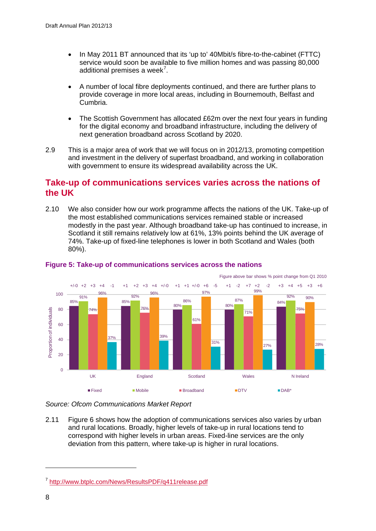- In May 2011 BT announced that its 'up to' 40Mbit/s fibre-to-the-cabinet (FTTC) service would soon be available to five million homes and was passing 80,000 additional premises a week<sup>[7](#page-10-0)</sup>.
- A number of local fibre deployments continued, and there are further plans to provide coverage in more local areas, including in Bournemouth, Belfast and Cumbria.
- The Scottish Government has allocated £62m over the next four years in funding for the digital economy and broadband infrastructure, including the delivery of next generation broadband across Scotland by 2020.
- 2.9 This is a major area of work that we will focus on in 2012/13, promoting competition and investment in the delivery of superfast broadband, and working in collaboration with government to ensure its widespread availability across the UK.

# **Take-up of communications services varies across the nations of the UK**

2.10 We also consider how our work programme affects the nations of the UK. Take-up of the most established communications services remained stable or increased modestly in the past year. Although broadband take-up has continued to increase, in Scotland it still remains relatively low at 61%, 13% points behind the UK average of 74%. Take-up of fixed-line telephones is lower in both Scotland and Wales (both 80%).



## **Figure 5: Take-up of communications services across the nations**

*Source: Ofcom Communications Market Report*

2.11 Figure 6 shows how the adoption of communications services also varies by urban and rural locations. Broadly, higher levels of take-up in rural locations tend to correspond with higher levels in urban areas. Fixed-line services are the only deviation from this pattern, where take-up is higher in rural locations.

-

<span id="page-10-0"></span><sup>7</sup> <http://www.btplc.com/News/ResultsPDF/q411release.pdf>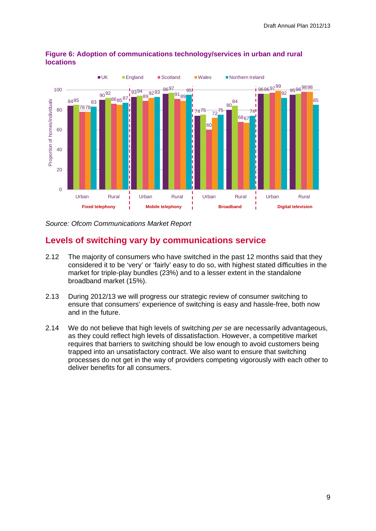

## **Figure 6: Adoption of communications technology/services in urban and rural locations**

*Source: Ofcom Communications Market Report*

# **Levels of switching vary by communications service**

- 2.12 The majority of consumers who have switched in the past 12 months said that they considered it to be 'very' or 'fairly' easy to do so, with highest stated difficulties in the market for triple-play bundles (23%) and to a lesser extent in the standalone broadband market (15%).
- 2.13 During 2012/13 we will progress our strategic review of consumer switching to ensure that consumers' experience of switching is easy and hassle-free, both now and in the future.
- 2.14 We do not believe that high levels of switching *per se* are necessarily advantageous, as they could reflect high levels of dissatisfaction. However, a competitive market requires that barriers to switching should be low enough to avoid customers being trapped into an unsatisfactory contract. We also want to ensure that switching processes do not get in the way of providers competing vigorously with each other to deliver benefits for all consumers.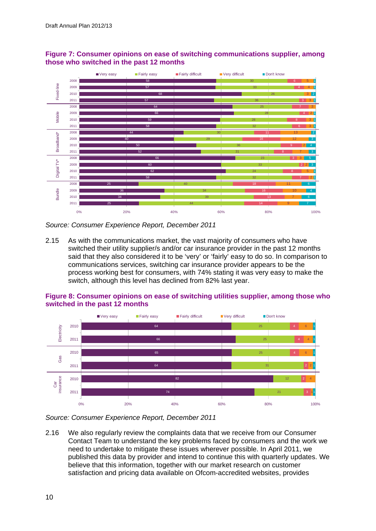

## **Figure 7: Consumer opinions on ease of switching communications supplier, among those who switched in the past 12 months**

*Source: Consumer Experience Report, December 2011*

2.15 As with the communications market, the vast majority of consumers who have switched their utility supplier/s and/or car insurance provider in the past 12 months said that they also considered it to be 'very' or 'fairly' easy to do so. In comparison to communications services, switching car insurance provider appears to be the process working best for consumers, with 74% stating it was very easy to make the switch, although this level has declined from 82% last year.



### **Figure 8: Consumer opinions on ease of switching utilities supplier, among those who switched in the past 12 months**

*Source: Consumer Experience Report, December 2011*

2.16 We also regularly review the complaints data that we receive from our Consumer Contact Team to understand the key problems faced by consumers and the work we need to undertake to mitigate these issues wherever possible. In April 2011, we published this data by provider and intend to continue this with quarterly updates. We believe that this information, together with our market research on customer satisfaction and pricing data available on Ofcom-accredited websites, provides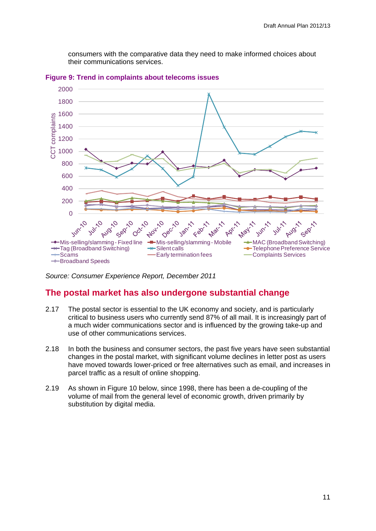consumers with the comparative data they need to make informed choices about their communications services.



**Figure 9: Trend in complaints about telecoms issues** 

*Source: Consumer Experience Report, December 2011*

# **The postal market has also undergone substantial change**

- 2.17 The postal sector is essential to the UK economy and society, and is particularly critical to business users who currently send 87% of all mail. It is increasingly part of a much wider communications sector and is influenced by the growing take-up and use of other communications services.
- 2.18 In both the business and consumer sectors, the past five years have seen substantial changes in the postal market, with significant volume declines in letter post as users have moved towards lower-priced or free alternatives such as email, and increases in parcel traffic as a result of online shopping.
- 2.19 As shown in Figure 10 below, since 1998, there has been a de-coupling of the volume of mail from the general level of economic growth, driven primarily by substitution by digital media.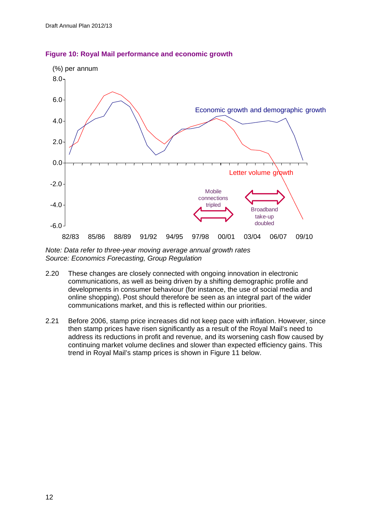

#### **Figure 10: Royal Mail performance and economic growth**

*Note: Data refer to three-year moving average annual growth rates Source: Economics Forecasting, Group Regulation* 

- 2.20 These changes are closely connected with ongoing innovation in electronic communications, as well as being driven by a shifting demographic profile and developments in consumer behaviour (for instance, the use of social media and online shopping). Post should therefore be seen as an integral part of the wider communications market, and this is reflected within our priorities.
- 2.21 Before 2006, stamp price increases did not keep pace with inflation. However, since then stamp prices have risen significantly as a result of the Royal Mail's need to address its reductions in profit and revenue, and its worsening cash flow caused by continuing market volume declines and slower than expected efficiency gains. This trend in Royal Mail's stamp prices is shown in Figure 11 below.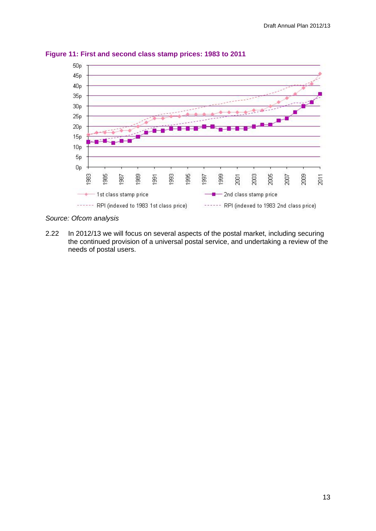

**Figure 11: First and second class stamp prices: 1983 to 2011**

*Source: Ofcom analysis*

2.22 In 2012/13 we will focus on several aspects of the postal market, including securing the continued provision of a universal postal service, and undertaking a review of the needs of postal users.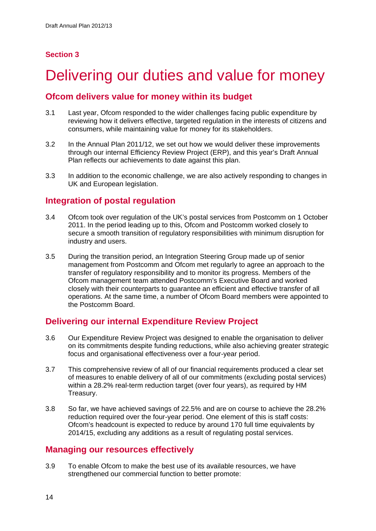# **Section 3**

# <span id="page-16-0"></span>Delivering our duties and value for money

# **Ofcom delivers value for money within its budget**

- 3.1 Last year, Ofcom responded to the wider challenges facing public expenditure by reviewing how it delivers effective, targeted regulation in the interests of citizens and consumers, while maintaining value for money for its stakeholders.
- 3.2 In the Annual Plan 2011/12, we set out how we would deliver these improvements through our internal Efficiency Review Project (ERP), and this year's Draft Annual Plan reflects our achievements to date against this plan.
- 3.3 In addition to the economic challenge, we are also actively responding to changes in UK and European legislation.

## **Integration of postal regulation**

- 3.4 Ofcom took over regulation of the UK's postal services from Postcomm on 1 October 2011. In the period leading up to this, Ofcom and Postcomm worked closely to secure a smooth transition of regulatory responsibilities with minimum disruption for industry and users.
- 3.5 During the transition period, an Integration Steering Group made up of senior management from Postcomm and Ofcom met regularly to agree an approach to the transfer of regulatory responsibility and to monitor its progress. Members of the Ofcom management team attended Postcomm's Executive Board and worked closely with their counterparts to guarantee an efficient and effective transfer of all operations. At the same time, a number of Ofcom Board members were appointed to the Postcomm Board.

# **Delivering our internal Expenditure Review Project**

- 3.6 Our Expenditure Review Project was designed to enable the organisation to deliver on its commitments despite funding reductions, while also achieving greater strategic focus and organisational effectiveness over a four-year period.
- 3.7 This comprehensive review of all of our financial requirements produced a clear set of measures to enable delivery of all of our commitments (excluding postal services) within a 28.2% real-term reduction target (over four years), as required by HM Treasury.
- 3.8 So far, we have achieved savings of 22.5% and are on course to achieve the 28.2% reduction required over the four-year period. One element of this is staff costs: Ofcom's headcount is expected to reduce by around 170 full time equivalents by 2014/15, excluding any additions as a result of regulating postal services.

# **Managing our resources effectively**

3.9 To enable Ofcom to make the best use of its available resources, we have strengthened our commercial function to better promote: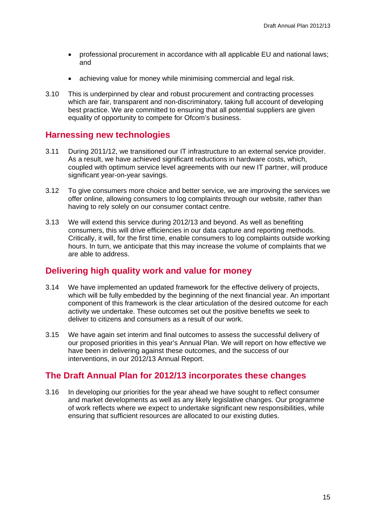- professional procurement in accordance with all applicable EU and national laws; and
- achieving value for money while minimising commercial and legal risk.
- 3.10 This is underpinned by clear and robust procurement and contracting processes which are fair, transparent and non-discriminatory, taking full account of developing best practice. We are committed to ensuring that all potential suppliers are given equality of opportunity to compete for Ofcom's business.

## **Harnessing new technologies**

- 3.11 During 2011/12, we transitioned our IT infrastructure to an external service provider. As a result, we have achieved significant reductions in hardware costs, which, coupled with optimum service level agreements with our new IT partner, will produce significant year-on-year savings.
- 3.12 To give consumers more choice and better service, we are improving the services we offer online, allowing consumers to log complaints through our website, rather than having to rely solely on our consumer contact centre.
- 3.13 We will extend this service during 2012/13 and beyond. As well as benefiting consumers, this will drive efficiencies in our data capture and reporting methods. Critically, it will, for the first time, enable consumers to log complaints outside working hours. In turn, we anticipate that this may increase the volume of complaints that we are able to address.

## **Delivering high quality work and value for money**

- 3.14 We have implemented an updated framework for the effective delivery of projects, which will be fully embedded by the beginning of the next financial year. An important component of this framework is the clear articulation of the desired outcome for each activity we undertake. These outcomes set out the positive benefits we seek to deliver to citizens and consumers as a result of our work.
- 3.15 We have again set interim and final outcomes to assess the successful delivery of our proposed priorities in this year's Annual Plan. We will report on how effective we have been in delivering against these outcomes, and the success of our interventions, in our 2012/13 Annual Report.

## **The Draft Annual Plan for 2012/13 incorporates these changes**

3.16 In developing our priorities for the year ahead we have sought to reflect consumer and market developments as well as any likely legislative changes. Our programme of work reflects where we expect to undertake significant new responsibilities, while ensuring that sufficient resources are allocated to our existing duties.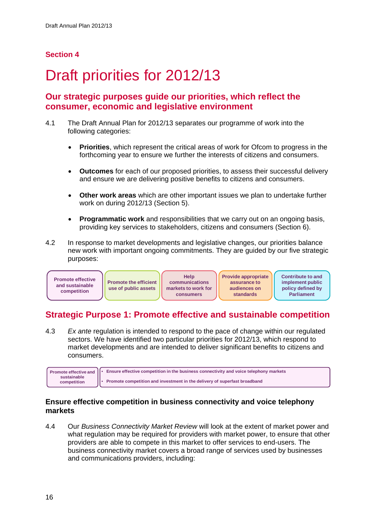# **Section 4**

# <span id="page-18-0"></span>Draft priorities for 2012/13

# **Our strategic purposes guide our priorities, which reflect the consumer, economic and legislative environment**

- 4.1 The Draft Annual Plan for 2012/13 separates our programme of work into the following categories:
	- **Priorities**, which represent the critical areas of work for Ofcom to progress in the forthcoming year to ensure we further the interests of citizens and consumers.
	- **Outcomes** for each of our proposed priorities, to assess their successful delivery and ensure we are delivering positive benefits to citizens and consumers.
	- **Other work areas** which are other important issues we plan to undertake further work on during 2012/13 (Section 5).
	- **Programmatic work** and responsibilities that we carry out on an ongoing basis. providing key services to stakeholders, citizens and consumers (Section 6).
- 4.2 In response to market developments and legislative changes, our priorities balance new work with important ongoing commitments. They are guided by our five strategic purposes:



# **Strategic Purpose 1: Promote effective and sustainable competition**

4.3 *Ex ante* regulation is intended to respond to the pace of change within our regulated sectors. We have identified two particular priorities for 2012/13, which respond to market developments and are intended to deliver significant benefits to citizens and consumers.



## **Ensure effective competition in business connectivity and voice telephony markets**

4.4 Our *Business Connectivity Market Review* will look at the extent of market power and what regulation may be required for providers with market power, to ensure that other providers are able to compete in this market to offer services to end-users. The business connectivity market covers a broad range of services used by businesses and communications providers, including: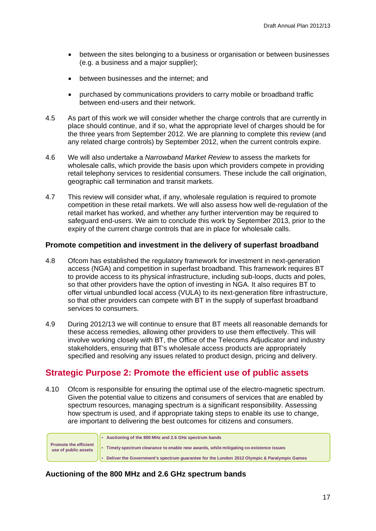- between the sites belonging to a business or organisation or between businesses (e.g. a business and a major supplier);
- between businesses and the internet; and
- purchased by communications providers to carry mobile or broadband traffic between end-users and their network.
- 4.5 As part of this work we will consider whether the charge controls that are currently in place should continue, and if so, what the appropriate level of charges should be for the three years from September 2012. We are planning to complete this review (and any related charge controls) by September 2012, when the current controls expire.
- 4.6 We will also undertake a *Narrowband Market Review* to assess the markets for wholesale calls, which provide the basis upon which providers compete in providing retail telephony services to residential consumers. These include the call origination, geographic call termination and transit markets.
- 4.7 This review will consider what, if any, wholesale regulation is required to promote competition in these retail markets. We will also assess how well de-regulation of the retail market has worked, and whether any further intervention may be required to safeguard end-users. We aim to conclude this work by September 2013, prior to the expiry of the current charge controls that are in place for wholesale calls.

### **Promote competition and investment in the delivery of superfast broadband**

- 4.8 Ofcom has established the regulatory framework for investment in next-generation access (NGA) and competition in superfast broadband. This framework requires BT to provide access to its physical infrastructure, including sub-loops, ducts and poles, so that other providers have the option of investing in NGA. It also requires BT to offer virtual unbundled local access (VULA) to its next-generation fibre infrastructure, so that other providers can compete with BT in the supply of superfast broadband services to consumers.
- 4.9 During 2012/13 we will continue to ensure that BT meets all reasonable demands for these access remedies, allowing other providers to use them effectively. This will involve working closely with BT, the Office of the Telecoms Adjudicator and industry stakeholders, ensuring that BT's wholesale access products are appropriately specified and resolving any issues related to product design, pricing and delivery.

## **Strategic Purpose 2: Promote the efficient use of public assets**

4.10 Ofcom is responsible for ensuring the optimal use of the electro-magnetic spectrum. Given the potential value to citizens and consumers of services that are enabled by spectrum resources, managing spectrum is a significant responsibility. Assessing how spectrum is used, and if appropriate taking steps to enable its use to change, are important to delivering the best outcomes for citizens and consumers.

• **Auctioning of the 800 MHz and 2.6 GHz spectrum bands** • **Timely spectrum clearance to enable new awards, while mitigating co-existence issues** • **Deliver the Government's spectrum guarantee for the London 2012 Olympic & Paralympic Games Promote the efficient use of public assets**

## **Auctioning of the 800 MHz and 2.6 GHz spectrum bands**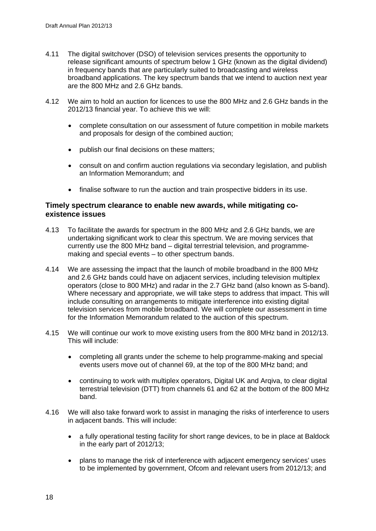- 4.11 The digital switchover (DSO) of television services presents the opportunity to release significant amounts of spectrum below 1 GHz (known as the digital dividend) in frequency bands that are particularly suited to broadcasting and wireless broadband applications. The key spectrum bands that we intend to auction next year are the 800 MHz and 2.6 GHz bands.
- 4.12 We aim to hold an auction for licences to use the 800 MHz and 2.6 GHz bands in the 2012/13 financial year. To achieve this we will:
	- complete consultation on our assessment of future competition in mobile markets and proposals for design of the combined auction;
	- publish our final decisions on these matters;
	- consult on and confirm auction regulations via secondary legislation, and publish an Information Memorandum; and
	- finalise software to run the auction and train prospective bidders in its use.

## **Timely spectrum clearance to enable new awards, while mitigating coexistence issues**

- 4.13 To facilitate the awards for spectrum in the 800 MHz and 2.6 GHz bands, we are undertaking significant work to clear this spectrum. We are moving services that currently use the 800 MHz band – digital terrestrial television, and programmemaking and special events – to other spectrum bands.
- 4.14 We are assessing the impact that the launch of mobile broadband in the 800 MHz and 2.6 GHz bands could have on adjacent services, including television multiplex operators (close to 800 MHz) and radar in the 2.7 GHz band (also known as S-band). Where necessary and appropriate, we will take steps to address that impact. This will include consulting on arrangements to mitigate interference into existing digital television services from mobile broadband. We will complete our assessment in time for the Information Memorandum related to the auction of this spectrum.
- 4.15 We will continue our work to move existing users from the 800 MHz band in 2012/13. This will include:
	- completing all grants under the scheme to help programme-making and special events users move out of channel 69, at the top of the 800 MHz band; and
	- continuing to work with multiplex operators, Digital UK and Arqiva, to clear digital terrestrial television (DTT) from channels 61 and 62 at the bottom of the 800 MHz band.
- 4.16 We will also take forward work to assist in managing the risks of interference to users in adjacent bands. This will include:
	- a fully operational testing facility for short range devices, to be in place at Baldock in the early part of 2012/13;
	- plans to manage the risk of interference with adjacent emergency services' uses to be implemented by government, Ofcom and relevant users from 2012/13; and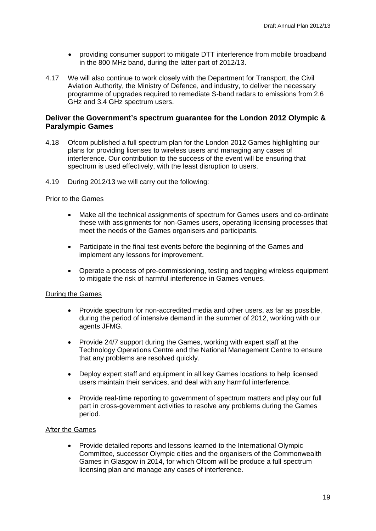- providing consumer support to mitigate DTT interference from mobile broadband in the 800 MHz band, during the latter part of 2012/13.
- 4.17 We will also continue to work closely with the Department for Transport, the Civil Aviation Authority, the Ministry of Defence, and industry, to deliver the necessary programme of upgrades required to remediate S-band radars to emissions from 2.6 GHz and 3.4 GHz spectrum users.

## **Deliver the Government's spectrum guarantee for the London 2012 Olympic & Paralympic Games**

- 4.18 Ofcom published a full spectrum plan for the London 2012 Games highlighting our plans for providing licenses to wireless users and managing any cases of interference. Our contribution to the success of the event will be ensuring that spectrum is used effectively, with the least disruption to users.
- 4.19 During 2012/13 we will carry out the following:

#### Prior to the Games

- Make all the technical assignments of spectrum for Games users and co-ordinate these with assignments for non-Games users, operating licensing processes that meet the needs of the Games organisers and participants.
- Participate in the final test events before the beginning of the Games and implement any lessons for improvement.
- Operate a process of pre-commissioning, testing and tagging wireless equipment to mitigate the risk of harmful interference in Games venues.

#### During the Games

- Provide spectrum for non-accredited media and other users, as far as possible, during the period of intensive demand in the summer of 2012, working with our agents JFMG.
- Provide 24/7 support during the Games, working with expert staff at the Technology Operations Centre and the National Management Centre to ensure that any problems are resolved quickly.
- Deploy expert staff and equipment in all key Games locations to help licensed users maintain their services, and deal with any harmful interference.
- Provide real-time reporting to government of spectrum matters and play our full part in cross-government activities to resolve any problems during the Games period.

#### After the Games

• Provide detailed reports and lessons learned to the International Olympic Committee, successor Olympic cities and the organisers of the Commonwealth Games in Glasgow in 2014, for which Ofcom will be produce a full spectrum licensing plan and manage any cases of interference.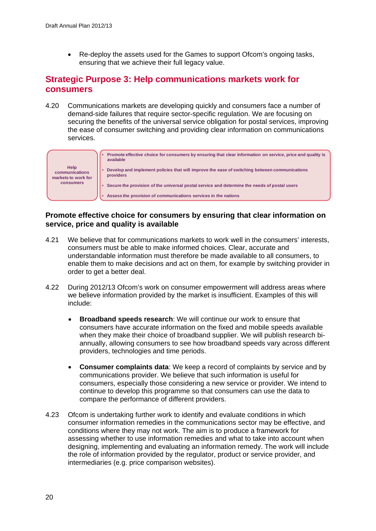• Re-deploy the assets used for the Games to support Ofcom's ongoing tasks, ensuring that we achieve their full legacy value.

# **Strategic Purpose 3: Help communications markets work for consumers**

4.20 Communications markets are developing quickly and consumers face a number of demand-side failures that require sector-specific regulation. We are focusing on securing the benefits of the universal service obligation for postal services, improving the ease of consumer switching and providing clear information on communications services.



## **Promote effective choice for consumers by ensuring that clear information on service, price and quality is available**

- 4.21 We believe that for communications markets to work well in the consumers' interests, consumers must be able to make informed choices. Clear, accurate and understandable information must therefore be made available to all consumers, to enable them to make decisions and act on them, for example by switching provider in order to get a better deal.
- 4.22 During 2012/13 Ofcom's work on consumer empowerment will address areas where we believe information provided by the market is insufficient. Examples of this will include:
	- **Broadband speeds research**: We will continue our work to ensure that consumers have accurate information on the fixed and mobile speeds available when they make their choice of broadband supplier. We will publish research biannually, allowing consumers to see how broadband speeds vary across different providers, technologies and time periods.
	- **Consumer complaints data**: We keep a record of complaints by service and by communications provider. We believe that such information is useful for consumers, especially those considering a new service or provider. We intend to continue to develop this programme so that consumers can use the data to compare the performance of different providers.
- 4.23 Ofcom is undertaking further work to identify and evaluate conditions in which consumer information remedies in the communications sector may be effective, and conditions where they may not work. The aim is to produce a framework for assessing whether to use information remedies and what to take into account when designing, implementing and evaluating an information remedy. The work will include the role of information provided by the regulator, product or service provider, and intermediaries (e.g. price comparison websites).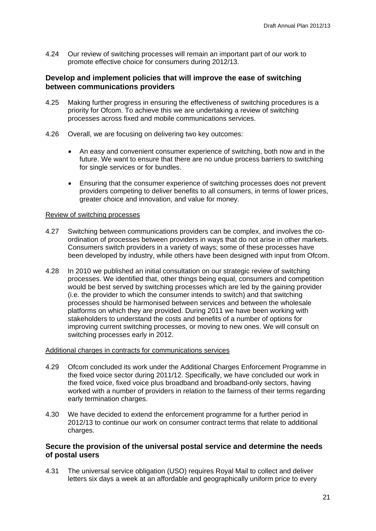4.24 Our review of switching processes will remain an important part of our work to promote effective choice for consumers during 2012/13.

## **Develop and implement policies that will improve the ease of switching between communications providers**

- 4.25 Making further progress in ensuring the effectiveness of switching procedures is a priority for Ofcom. To achieve this we are undertaking a review of switching processes across fixed and mobile communications services.
- 4.26 Overall, we are focusing on delivering two key outcomes:
	- An easy and convenient consumer experience of switching, both now and in the future. We want to ensure that there are no undue process barriers to switching for single services or for bundles.
	- Ensuring that the consumer experience of switching processes does not prevent providers competing to deliver benefits to all consumers, in terms of lower prices, greater choice and innovation, and value for money.

#### Review of switching processes

- 4.27 Switching between communications providers can be complex, and involves the coordination of processes between providers in ways that do not arise in other markets. Consumers switch providers in a variety of ways; some of these processes have been developed by industry, while others have been designed with input from Ofcom.
- 4.28 In 2010 we published an initial consultation on our strategic review of switching processes. We identified that, other things being equal, consumers and competition would be best served by switching processes which are led by the gaining provider (i.e. the provider to which the consumer intends to switch) and that switching processes should be harmonised between services and between the wholesale platforms on which they are provided. During 2011 we have been working with stakeholders to understand the costs and benefits of a number of options for improving current switching processes, or moving to new ones. We will consult on switching processes early in 2012.

#### Additional charges in contracts for communications services

- 4.29 Ofcom concluded its work under the Additional Charges Enforcement Programme in the fixed voice sector during 2011/12. Specifically, we have concluded our work in the fixed voice, fixed voice plus broadband and broadband-only sectors, having worked with a number of providers in relation to the fairness of their terms regarding early termination charges.
- 4.30 We have decided to extend the enforcement programme for a further period in 2012/13 to continue our work on consumer contract terms that relate to additional charges.

## **Secure the provision of the universal postal service and determine the needs of postal users**

4.31 The universal service obligation (USO) requires Royal Mail to collect and deliver letters six days a week at an affordable and geographically uniform price to every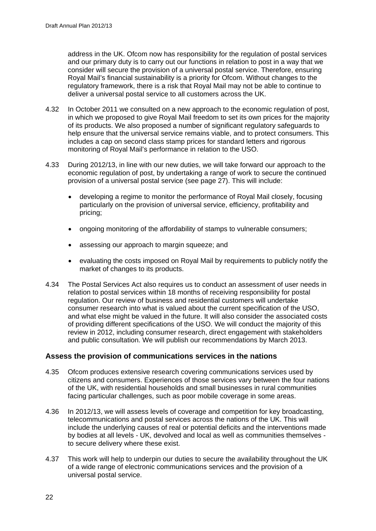address in the UK. Ofcom now has responsibility for the regulation of postal services and our primary duty is to carry out our functions in relation to post in a way that we consider will secure the provision of a universal postal service. Therefore, ensuring Royal Mail's financial sustainability is a priority for Ofcom. Without changes to the regulatory framework, there is a risk that Royal Mail may not be able to continue to deliver a universal postal service to all customers across the UK.

- 4.32 In October 2011 we consulted on a new approach to the economic regulation of post, in which we proposed to give Royal Mail freedom to set its own prices for the majority of its products. We also proposed a number of significant regulatory safeguards to help ensure that the universal service remains viable, and to protect consumers. This includes a cap on second class stamp prices for standard letters and rigorous monitoring of Royal Mail's performance in relation to the USO.
- 4.33 During 2012/13, in line with our new duties, we will take forward our approach to the economic regulation of post, by undertaking a range of work to secure the continued provision of a universal postal service (see page 27). This will include:
	- developing a regime to monitor the performance of Royal Mail closely, focusing particularly on the provision of universal service, efficiency, profitability and pricing;
	- ongoing monitoring of the affordability of stamps to vulnerable consumers;
	- assessing our approach to margin squeeze; and
	- evaluating the costs imposed on Royal Mail by requirements to publicly notify the market of changes to its products.
- 4.34 The Postal Services Act also requires us to conduct an assessment of user needs in relation to postal services within 18 months of receiving responsibility for postal regulation. Our review of business and residential customers will undertake consumer research into what is valued about the current specification of the USO, and what else might be valued in the future. It will also consider the associated costs of providing different specifications of the USO. We will conduct the majority of this review in 2012, including consumer research, direct engagement with stakeholders and public consultation. We will publish our recommendations by March 2013.

## **Assess the provision of communications services in the nations**

- 4.35 Ofcom produces extensive research covering communications services used by citizens and consumers. Experiences of those services vary between the four nations of the UK, with residential households and small businesses in rural communities facing particular challenges, such as poor mobile coverage in some areas.
- 4.36 In 2012/13, we will assess levels of coverage and competition for key broadcasting, telecommunications and postal services across the nations of the UK. This will include the underlying causes of real or potential deficits and the interventions made by bodies at all levels - UK, devolved and local as well as communities themselves to secure delivery where these exist.
- 4.37 This work will help to underpin our duties to secure the availability throughout the UK of a wide range of electronic communications services and the provision of a universal postal service.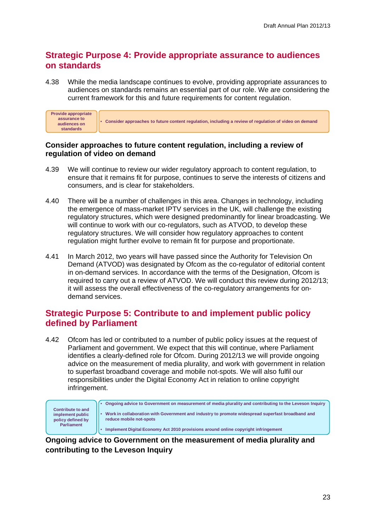# **Strategic Purpose 4: Provide appropriate assurance to audiences on standards**

4.38 While the media landscape continues to evolve, providing appropriate assurances to audiences on standards remains an essential part of our role. We are considering the current framework for this and future requirements for content regulation.

| Provide appropriate<br>assurance to<br>audiences on<br>standards | <b>Consider approaches to future content regulation, including a review of regulation of video on demand</b> |
|------------------------------------------------------------------|--------------------------------------------------------------------------------------------------------------|
|------------------------------------------------------------------|--------------------------------------------------------------------------------------------------------------|

## **Consider approaches to future content regulation, including a review of regulation of video on demand**

- 4.39 We will continue to review our wider regulatory approach to content regulation, to ensure that it remains fit for purpose, continues to serve the interests of citizens and consumers, and is clear for stakeholders.
- 4.40 There will be a number of challenges in this area. Changes in technology, including the emergence of mass-market IPTV services in the UK, will challenge the existing regulatory structures, which were designed predominantly for linear broadcasting. We will continue to work with our co-regulators, such as ATVOD, to develop these regulatory structures. We will consider how regulatory approaches to content regulation might further evolve to remain fit for purpose and proportionate.
- 4.41 In March 2012, two years will have passed since the Authority for Television On Demand (ATVOD) was designated by Ofcom as the co-regulator of editorial content in on-demand services. In accordance with the terms of the Designation, Ofcom is required to carry out a review of ATVOD. We will conduct this review during 2012/13; it will assess the overall effectiveness of the co-regulatory arrangements for ondemand services.

# **Strategic Purpose 5: Contribute to and implement public policy defined by Parliament**

4.42 Ofcom has led or contributed to a number of public policy issues at the request of Parliament and government. We expect that this will continue, where Parliament identifies a clearly-defined role for Ofcom. During 2012/13 we will provide ongoing advice on the measurement of media plurality, and work with government in relation to superfast broadband coverage and mobile not-spots. We will also fulfil our responsibilities under the Digital Economy Act in relation to online copyright infringement.

|                                                                   | Ongoing advice to Government on measurement of media plurality and contributing to the Leveson Inquiry                      |
|-------------------------------------------------------------------|-----------------------------------------------------------------------------------------------------------------------------|
| <b>Contribute to and</b><br>implement public<br>policy defined by | Work in collaboration with Government and industry to promote widespread superfast broadband and<br>reduce mobile not-spots |
| <b>Parliament</b>                                                 | Implement Digital Economy Act 2010 provisions around online copyright infringement                                          |

**Ongoing advice to Government on the measurement of media plurality and contributing to the Leveson Inquiry**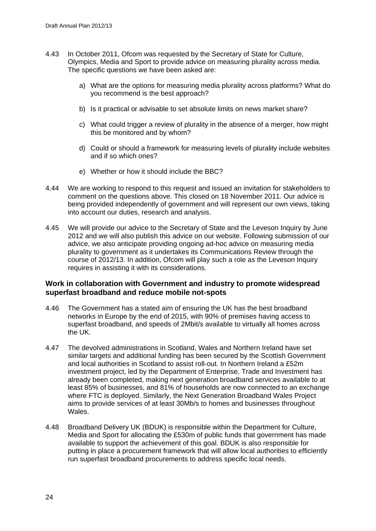- 4.43 In October 2011, Ofcom was requested by the Secretary of State for Culture, Olympics, Media and Sport to provide advice on measuring plurality across media. The specific questions we have been asked are:
	- a) What are the options for measuring media plurality across platforms? What do you recommend is the best approach?
	- b) Is it practical or advisable to set absolute limits on news market share?
	- c) What could trigger a review of plurality in the absence of a merger, how might this be monitored and by whom?
	- d) Could or should a framework for measuring levels of plurality include websites and if so which ones?
	- e) Whether or how it should include the BBC?
- 4.44 We are working to respond to this request and issued an invitation for stakeholders to comment on the questions above. This closed on 18 November 2011. Our advice is being provided independently of government and will represent our own views, taking into account our duties, research and analysis.
- 4.45 We will provide our advice to the Secretary of State and the Leveson Inquiry by June 2012 and we will also publish this advice on our website. Following submission of our advice, we also anticipate providing ongoing ad-hoc advice on measuring media plurality to government as it undertakes its Communications Review through the course of 2012/13. In addition, Ofcom will play such a role as the Leveson Inquiry requires in assisting it with its considerations.

## **Work in collaboration with Government and industry to promote widespread superfast broadband and reduce mobile not-spots**

- 4.46 The Government has a stated aim of ensuring the UK has the best broadband networks in Europe by the end of 2015, with 90% of premises having access to superfast broadband, and speeds of 2Mbit/s available to virtually all homes across the UK.
- 4.47 The devolved administrations in Scotland, Wales and Northern Ireland have set similar targets and additional funding has been secured by the Scottish Government and local authorities in Scotland to assist roll-out. In Northern Ireland a £52m investment project, led by the Department of Enterprise, Trade and Investment has already been completed, making next generation broadband services available to at least 85% of businesses, and 81% of households are now connected to an exchange where FTC is deployed. Similarly, the Next Generation Broadband Wales Project aims to provide services of at least 30Mb/s to homes and businesses throughout Wales.
- 4.48 Broadband Delivery UK (BDUK) is responsible within the Department for Culture, Media and Sport for allocating the £530m of public funds that government has made available to support the achievement of this goal. BDUK is also responsible for putting in place a procurement framework that will allow local authorities to efficiently run superfast broadband procurements to address specific local needs.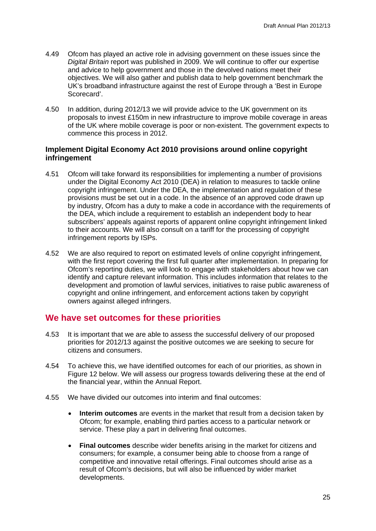- 4.49 Ofcom has played an active role in advising government on these issues since the *Digital Britain* report was published in 2009. We will continue to offer our expertise and advice to help government and those in the devolved nations meet their objectives. We will also gather and publish data to help government benchmark the UK's broadband infrastructure against the rest of Europe through a 'Best in Europe Scorecard'.
- 4.50 In addition, during 2012/13 we will provide advice to the UK government on its proposals to invest £150m in new infrastructure to improve mobile coverage in areas of the UK where mobile coverage is poor or non-existent. The government expects to commence this process in 2012.

## **Implement Digital Economy Act 2010 provisions around online copyright infringement**

- 4.51 Ofcom will take forward its responsibilities for implementing a number of provisions under the Digital Economy Act 2010 (DEA) in relation to measures to tackle online copyright infringement. Under the DEA, the implementation and regulation of these provisions must be set out in a code. In the absence of an approved code drawn up by industry, Ofcom has a duty to make a code in accordance with the requirements of the DEA, which include a requirement to establish an independent body to hear subscribers' appeals against reports of apparent online copyright infringement linked to their accounts. We will also consult on a tariff for the processing of copyright infringement reports by ISPs.
- 4.52 We are also required to report on estimated levels of online copyright infringement, with the first report covering the first full quarter after implementation. In preparing for Ofcom's reporting duties, we will look to engage with stakeholders about how we can identify and capture relevant information. This includes information that relates to the development and promotion of lawful services, initiatives to raise public awareness of copyright and online infringement, and enforcement actions taken by copyright owners against alleged infringers.

# **We have set outcomes for these priorities**

- 4.53 It is important that we are able to assess the successful delivery of our proposed priorities for 2012/13 against the positive outcomes we are seeking to secure for citizens and consumers.
- 4.54 To achieve this, we have identified outcomes for each of our priorities, as shown in Figure 12 below. We will assess our progress towards delivering these at the end of the financial year, within the Annual Report.
- 4.55 We have divided our outcomes into interim and final outcomes:
	- **Interim outcomes** are events in the market that result from a decision taken by Ofcom; for example, enabling third parties access to a particular network or service. These play a part in delivering final outcomes.
	- **Final outcomes** describe wider benefits arising in the market for citizens and consumers; for example, a consumer being able to choose from a range of competitive and innovative retail offerings. Final outcomes should arise as a result of Ofcom's decisions, but will also be influenced by wider market developments.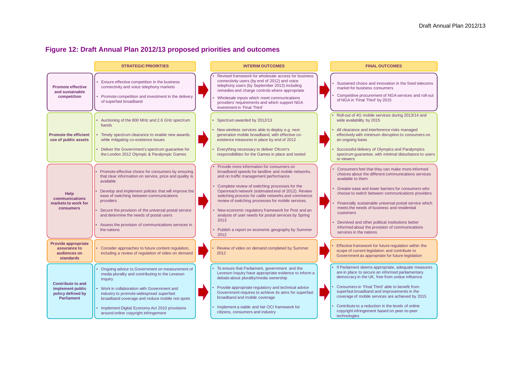# **Figure 12: Draft Annual Plan 2012/13 proposed priorities and outcomes**

|                                                                                        | <b>STRATEGIC PRIORITIES</b>                                                                                                                                                                                                                                                                                                                                                                                         | <b>INTERIM OUTCOMES</b>                                                                                                                                                                                                                                                                                                                                                                                                                                                                                                                     | <b>FINAL OUTCOMES</b>                                                                                                                                                                                                                                                                                                                                                                                                                                                                        |
|----------------------------------------------------------------------------------------|---------------------------------------------------------------------------------------------------------------------------------------------------------------------------------------------------------------------------------------------------------------------------------------------------------------------------------------------------------------------------------------------------------------------|---------------------------------------------------------------------------------------------------------------------------------------------------------------------------------------------------------------------------------------------------------------------------------------------------------------------------------------------------------------------------------------------------------------------------------------------------------------------------------------------------------------------------------------------|----------------------------------------------------------------------------------------------------------------------------------------------------------------------------------------------------------------------------------------------------------------------------------------------------------------------------------------------------------------------------------------------------------------------------------------------------------------------------------------------|
| <b>Promote effective</b><br>and sustainable<br>competition                             | Ensure effective competition in the business<br>connectivity and voice telephony markets<br>Promote competition and investment in the delivery<br>of superfast broadband                                                                                                                                                                                                                                            | Revised framework for wholesale access for business<br>connectivity users (by end of 2012) and voice<br>telephony users (by September 2013) including<br>remedies and charge controls where appropriate<br>Wholesale inputs which meet communications<br>providers' requirements and which support NGA<br>investment in 'Final Third'                                                                                                                                                                                                       | Sustained choice and innovation in the fixed telecoms<br>market for business consumers<br>Competitive procurement of NGA services and roll-out<br>of NGA in 'Final Third' by 2015                                                                                                                                                                                                                                                                                                            |
| <b>Promote the efficient</b><br>use of public assets                                   | Auctioning of the 800 MHz and 2.6 GHz spectrum<br>bands<br>Timely spectrum clearance to enable new awards,<br>while mitigating co-existence issues<br>Deliver the Government's spectrum guarantee for<br>the London 2012 Olympic & Paralympic Games                                                                                                                                                                 | Spectrum awarded by 2012/13<br>New wireless services able to deploy e.g. next<br>generation mobile broadband, with effective co-<br>existence measures in place by end of 2012<br>Everything necessary to deliver Ofcom's<br>responsibilities for the Games in place and tested                                                                                                                                                                                                                                                             | Roll-out of 4G mobile services during 2013/14 and<br>wide availability by 2015<br>All clearance and interference risks managed<br>effectively with minimum disruption to consumers on<br>an ongoing basis<br>Successful delivery of Olympics and Paralympics<br>spectrum guarantee, with minimal disturbance to users<br>or viewers                                                                                                                                                          |
| Help<br>communications<br>markets to work for<br>consumers                             | Promote effective choice for consumers by ensuring<br>that clear information on service, price and quality is<br>available<br>Develop and implement policies that will improve the<br>ease of switching between communications<br>providers<br>Secure the provision of the universal postal service<br>and determine the needs of postal users<br>Assess the provision of communications services in<br>the nations | Provide more information for consumers on<br>broadband speeds for landline and mobile networks,<br>and on traffic management performance<br>Complete review of switching processes for the<br>Openreach network (estimated end of 2012). Review<br>switching process for cable networks and commence<br>review of switching processes for mobile services.<br>New economic regulatory framework for Post and an<br>analysis of user needs for postal services by Spring<br>2013<br>Publish a report on economic geography by Summer<br>2012 | Consumers feel that they can make more informed<br>choices about the different communications services<br>available to them<br>Greater ease and lower barriers for consumers who<br>choose to switch between communications providers<br>Financially sustainable universal postal service which<br>meets the needs of business and residential<br>customers<br>Devolved and other political institutions better<br>informed about the provision of communications<br>services in the nations |
| Provide appropriate<br>assurance to<br>audiences on<br><b>standards</b>                | Consider approaches to future content regulation,<br>including a review of regulation of video on demand                                                                                                                                                                                                                                                                                                            | Review of video on demand completed by Summer<br>2012                                                                                                                                                                                                                                                                                                                                                                                                                                                                                       | Effective framework for future regulation within the<br>scope of current legislation and contribute to<br>Government as appropriate for future legislation                                                                                                                                                                                                                                                                                                                                   |
| <b>Contribute to and</b><br>implement public<br>policy defined by<br><b>Parliament</b> | Ongoing advice to Government on measurement of<br>media plurality and contributing to the Leveson<br>Inquiry<br>• Work in collaboration with Government and<br>industry to promote widespread superfast<br>broadband coverage and reduce mobile not-spots<br>Implement Digital Economy Act 2010 provisions<br>around online copyright infringement                                                                  | To ensure that Parliament, government and the<br>Leveson Inquiry have appropriate evidence to inform a<br>debate about plurality/media ownership<br>Provide appropriate regulatory and technical advice<br>Government requires to achieve its aims for superfast<br>broadband and mobile coverage<br>Implement a viable and fair OCI framework for<br>citizens, consumers and industry                                                                                                                                                      | If Parliament deems appropriate, adequate measures<br>are in place to secure an informed parliamentary<br>democracy in the UK, free from undue influence<br>Consumers in 'Final Third' able to benefit from<br>superfast broadband and improvements in the<br>coverage of mobile services are achieved by 2015<br>Contribute to a reduction in the levels of online<br>copyright infringement based on peer-to-peer<br>technologies                                                          |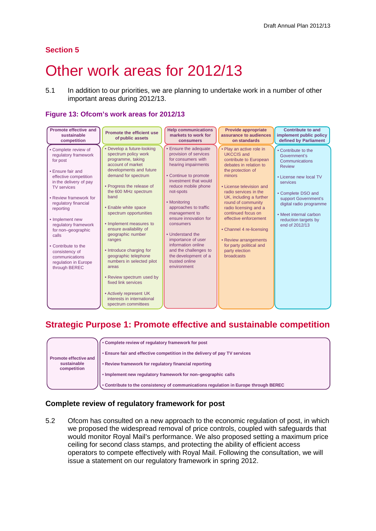## **Section 5**

# <span id="page-29-0"></span>Other work areas for 2012/13

5.1 In addition to our priorities, we are planning to undertake work in a number of other important areas during 2012/13.

## **Figure 13: Ofcom's work areas for 2012/13**

| <b>Promote effective and</b><br>sustainable<br>competition                                                                                                                                                                                                                                                                                                                                          | <b>Promote the efficient use</b><br>of public assets                                                                                                                                                                                                                                                                                                                                                                                                                                                                                                                          | <b>Help communications</b><br>markets to work for<br>consumers                                                                                                                                                                                                                                                                                                                                                                      | <b>Provide appropriate</b><br>assurance to audiences<br>on standards                                                                                                                                                                                                                                                                                                                                                                  | <b>Contribute to and</b><br>implement public policy<br>defined by Parliament                                                                                                                                                                              |
|-----------------------------------------------------------------------------------------------------------------------------------------------------------------------------------------------------------------------------------------------------------------------------------------------------------------------------------------------------------------------------------------------------|-------------------------------------------------------------------------------------------------------------------------------------------------------------------------------------------------------------------------------------------------------------------------------------------------------------------------------------------------------------------------------------------------------------------------------------------------------------------------------------------------------------------------------------------------------------------------------|-------------------------------------------------------------------------------------------------------------------------------------------------------------------------------------------------------------------------------------------------------------------------------------------------------------------------------------------------------------------------------------------------------------------------------------|---------------------------------------------------------------------------------------------------------------------------------------------------------------------------------------------------------------------------------------------------------------------------------------------------------------------------------------------------------------------------------------------------------------------------------------|-----------------------------------------------------------------------------------------------------------------------------------------------------------------------------------------------------------------------------------------------------------|
| • Complete review of<br>regulatory framework<br>for post<br>• Ensure fair and<br>effective competition<br>in the delivery of pay<br><b>TV</b> services<br>• Review framework for<br>regulatory financial<br>reporting<br>• Implement new<br>regulatory framework<br>for non-geographic<br>calls<br>• Contribute to the<br>consistency of<br>communications<br>regulation in Europe<br>through BEREC | Develop a future-looking<br>spectrum policy work<br>programme, taking<br>account of market<br>developments and future<br>demand for spectrum<br>• Progress the release of<br>the 600 MHz spectrum<br>band<br>• Enable white space<br>spectrum opportunities<br>• Implement measures to<br>ensure availability of<br>geographic number<br>ranges<br>• Introduce charging for<br>geographic telephone<br>numbers in selected pilot<br>areas<br>• Review spectrum used by<br>fixed link services<br>• Actively represent UK<br>interests in international<br>spectrum committees | • Ensure the adequate<br>provision of services<br>for consumers with<br>hearing impairments<br>• Continue to promote<br>investment that would<br>reduce mobile phone<br>not-spots<br>• Monitoring<br>approaches to traffic<br>management to<br>ensure innovation for<br>consumers<br>• Understand the<br>importance of user<br>information online<br>and the challenges to<br>the development of a<br>trusted online<br>environment | • Play an active role in<br><b>UKCCIS</b> and<br>contribute to European<br>debates in relation to<br>the protection of<br>minors<br>• License television and<br>radio services in the<br>UK, including a further<br>round of community<br>radio licensing and a<br>continued focus on<br>effective enforcement<br>• Channel 4 re-licensing<br>• Review arrangements<br>for party political and<br>party election<br><b>broadcasts</b> | • Contribute to the<br>Government's<br>Communications<br><b>Review</b><br>• License new local TV<br>services<br>• Complete DSO and<br>support Government's<br>digital radio programme<br>• Meet internal carbon<br>reduction targets by<br>end of 2012/13 |

# **Strategic Purpose 1: Promote effective and sustainable competition**

|                              | . Complete review of regulatory framework for post                                   |
|------------------------------|--------------------------------------------------------------------------------------|
| <b>Promote effective and</b> | . Ensure fair and effective competition in the delivery of pay TV services           |
| sustainable<br>competition   | • Review framework for regulatory financial reporting                                |
|                              | • Implement new regulatory framework for non-geographic calls                        |
|                              | . Contribute to the consistency of communications regulation in Europe through BEREC |

## **Complete review of regulatory framework for post**

5.2 Ofcom has consulted on a new approach to the economic regulation of post, in which we proposed the widespread removal of price controls, coupled with safeguards that would monitor Royal Mail's performance. We also proposed setting a maximum price ceiling for second class stamps, and protecting the ability of efficient access operators to compete effectively with Royal Mail. Following the consultation, we will issue a statement on our regulatory framework in spring 2012.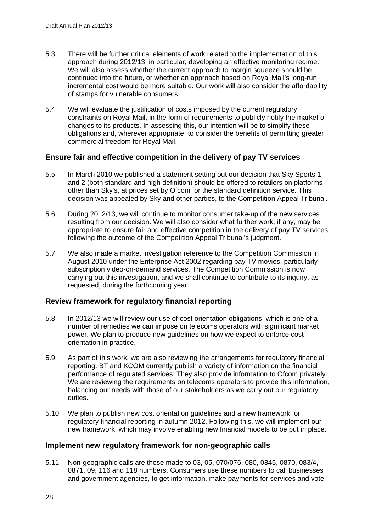- 5.3 There will be further critical elements of work related to the implementation of this approach during 2012/13; in particular, developing an effective monitoring regime. We will also assess whether the current approach to margin squeeze should be continued into the future, or whether an approach based on Royal Mail's long-run incremental cost would be more suitable. Our work will also consider the affordability of stamps for vulnerable consumers.
- 5.4 We will evaluate the justification of costs imposed by the current regulatory constraints on Royal Mail, in the form of requirements to publicly notify the market of changes to its products. In assessing this, our intention will be to simplify these obligations and, wherever appropriate, to consider the benefits of permitting greater commercial freedom for Royal Mail.

## **Ensure fair and effective competition in the delivery of pay TV services**

- 5.5 In March 2010 we published a statement setting out our decision that Sky Sports 1 and 2 (both standard and high definition) should be offered to retailers on platforms other than Sky's, at prices set by Ofcom for the standard definition service. This decision was appealed by Sky and other parties, to the Competition Appeal Tribunal.
- 5.6 During 2012/13, we will continue to monitor consumer take-up of the new services resulting from our decision. We will also consider what further work, if any, may be appropriate to ensure fair and effective competition in the delivery of pay TV services, following the outcome of the Competition Appeal Tribunal's judgment.
- 5.7 We also made a market investigation reference to the Competition Commission in August 2010 under the Enterprise Act 2002 regarding pay TV movies, particularly subscription video-on-demand services. The Competition Commission is now carrying out this investigation, and we shall continue to contribute to its inquiry, as requested, during the forthcoming year.

## **Review framework for regulatory financial reporting**

- 5.8 In 2012/13 we will review our use of cost orientation obligations, which is one of a number of remedies we can impose on telecoms operators with significant market power. We plan to produce new guidelines on how we expect to enforce cost orientation in practice.
- 5.9 As part of this work, we are also reviewing the arrangements for regulatory financial reporting. BT and KCOM currently publish a variety of information on the financial performance of regulated services. They also provide information to Ofcom privately. We are reviewing the requirements on telecoms operators to provide this information, balancing our needs with those of our stakeholders as we carry out our regulatory duties.
- 5.10 We plan to publish new cost orientation guidelines and a new framework for regulatory financial reporting in autumn 2012. Following this, we will implement our new framework, which may involve enabling new financial models to be put in place.

## **Implement new regulatory framework for non-geographic calls**

5.11 Non-geographic calls are those made to 03, 05, 070/076, 080, 0845, 0870, 083/4, 0871, 09, 116 and 118 numbers. Consumers use these numbers to call businesses and government agencies, to get information, make payments for services and vote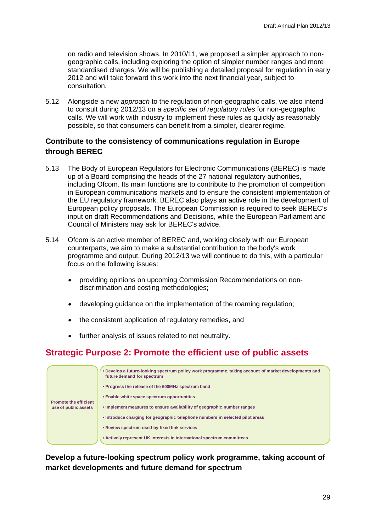on radio and television shows. In 2010/11, we proposed a simpler approach to nongeographic calls, including exploring the option of simpler number ranges and more standardised charges. We will be publishing a detailed proposal for regulation in early 2012 and will take forward this work into the next financial year, subject to consultation.

5.12 Alongside a new *approach* to the regulation of non-geographic calls, we also intend to consult during 2012/13 on a *specific set of regulatory rules* for non-geographic calls. We will work with industry to implement these rules as quickly as reasonably possible, so that consumers can benefit from a simpler, clearer regime.

## **Contribute to the consistency of communications regulation in Europe through BEREC**

- 5.13 The Body of European Regulators for Electronic Communications (BEREC) is made up of a Board comprising the heads of the 27 national regulatory authorities, including Ofcom. Its main functions are to contribute to the promotion of competition in European communications markets and to ensure the consistent implementation of the EU regulatory framework. BEREC also plays an active role in the development of European policy proposals. The European Commission is required to seek BEREC's input on draft Recommendations and Decisions, while the European Parliament and Council of Ministers may ask for BEREC's advice.
- 5.14 Ofcom is an active member of BEREC and, working closely with our European counterparts, we aim to make a substantial contribution to the body's work programme and output. During 2012/13 we will continue to do this, with a particular focus on the following issues:
	- providing opinions on upcoming Commission Recommendations on nondiscrimination and costing methodologies;
	- developing guidance on the implementation of the roaming regulation;
	- the consistent application of regulatory remedies, and
	- further analysis of issues related to net neutrality.

# **Strategic Purpose 2: Promote the efficient use of public assets**

|                                                      | • Develop a future-looking spectrum policy work programme, taking account of market developments and<br>future demand for spectrum |
|------------------------------------------------------|------------------------------------------------------------------------------------------------------------------------------------|
|                                                      | • Progress the release of the 600MHz spectrum band                                                                                 |
|                                                      | • Enable white space spectrum opportunities                                                                                        |
| <b>Promote the efficient</b><br>use of public assets | • Implement measures to ensure availability of geographic number ranges                                                            |
|                                                      | . Introduce charging for geographic telephone numbers in selected pilot areas                                                      |
|                                                      | • Review spectrum used by fixed link services                                                                                      |
|                                                      | • Actively represent UK interests in international spectrum committees                                                             |

**Develop a future-looking spectrum policy work programme, taking account of market developments and future demand for spectrum**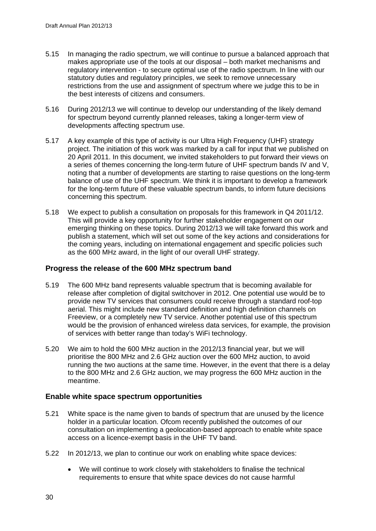- 5.15 In managing the radio spectrum, we will continue to pursue a balanced approach that makes appropriate use of the tools at our disposal – both market mechanisms and regulatory intervention - to secure optimal use of the radio spectrum. In line with our statutory duties and regulatory principles, we seek to remove unnecessary restrictions from the use and assignment of spectrum where we judge this to be in the best interests of citizens and consumers.
- 5.16 During 2012/13 we will continue to develop our understanding of the likely demand for spectrum beyond currently planned releases, taking a longer-term view of developments affecting spectrum use.
- 5.17 A key example of this type of activity is our Ultra High Frequency (UHF) strategy project. The initiation of this work was marked by a call for input that we published on 20 April 2011. In this document, we invited stakeholders to put forward their views on a series of themes concerning the long-term future of UHF spectrum bands IV and V, noting that a number of developments are starting to raise questions on the long-term balance of use of the UHF spectrum. We think it is important to develop a framework for the long-term future of these valuable spectrum bands, to inform future decisions concerning this spectrum.
- 5.18 We expect to publish a consultation on proposals for this framework in Q4 2011/12. This will provide a key opportunity for further stakeholder engagement on our emerging thinking on these topics. During 2012/13 we will take forward this work and publish a statement, which will set out some of the key actions and considerations for the coming years, including on international engagement and specific policies such as the 600 MHz award, in the light of our overall UHF strategy.

## **Progress the release of the 600 MHz spectrum band**

- 5.19 The 600 MHz band represents valuable spectrum that is becoming available for release after completion of digital switchover in 2012. One potential use would be to provide new TV services that consumers could receive through a standard roof-top aerial. This might include new standard definition and high definition channels on Freeview, or a completely new TV service. Another potential use of this spectrum would be the provision of enhanced wireless data services, for example, the provision of services with better range than today's WiFi technology.
- 5.20 We aim to hold the 600 MHz auction in the 2012/13 financial year, but we will prioritise the 800 MHz and 2.6 GHz auction over the 600 MHz auction, to avoid running the two auctions at the same time. However, in the event that there is a delay to the 800 MHz and 2.6 GHz auction, we may progress the 600 MHz auction in the meantime.

## **Enable white space spectrum opportunities**

- 5.21 White space is the name given to bands of spectrum that are unused by the licence holder in a particular location. Ofcom recently published the outcomes of our consultation on implementing a geolocation-based approach to enable white space access on a licence-exempt basis in the UHF TV band.
- 5.22 In 2012/13, we plan to continue our work on enabling white space devices:
	- We will continue to work closely with stakeholders to finalise the technical requirements to ensure that white space devices do not cause harmful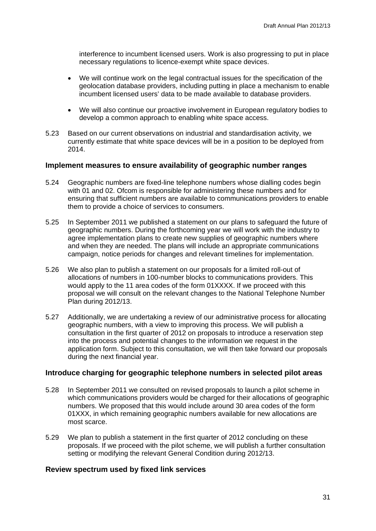interference to incumbent licensed users. Work is also progressing to put in place necessary regulations to licence-exempt white space devices.

- We will continue work on the legal contractual issues for the specification of the geolocation database providers, including putting in place a mechanism to enable incumbent licensed users' data to be made available to database providers.
- We will also continue our proactive involvement in European regulatory bodies to develop a common approach to enabling white space access.
- 5.23 Based on our current observations on industrial and standardisation activity, we currently estimate that white space devices will be in a position to be deployed from 2014.

### **Implement measures to ensure availability of geographic number ranges**

- 5.24 Geographic numbers are fixed-line telephone numbers whose dialling codes begin with 01 and 02. Ofcom is responsible for administering these numbers and for ensuring that sufficient numbers are available to communications providers to enable them to provide a choice of services to consumers.
- 5.25 In September 2011 we published a statement on our plans to safeguard the future of geographic numbers. During the forthcoming year we will work with the industry to agree implementation plans to create new supplies of geographic numbers where and when they are needed. The plans will include an appropriate communications campaign, notice periods for changes and relevant timelines for implementation.
- 5.26 We also plan to publish a statement on our proposals for a limited roll-out of allocations of numbers in 100-number blocks to communications providers. This would apply to the 11 area codes of the form 01XXXX. If we proceed with this proposal we will consult on the relevant changes to the National Telephone Number Plan during 2012/13.
- 5.27 Additionally, we are undertaking a review of our administrative process for allocating geographic numbers, with a view to improving this process. We will publish a consultation in the first quarter of 2012 on proposals to introduce a reservation step into the process and potential changes to the information we request in the application form. Subject to this consultation, we will then take forward our proposals during the next financial year.

### **Introduce charging for geographic telephone numbers in selected pilot areas**

- 5.28 In September 2011 we consulted on revised proposals to launch a pilot scheme in which communications providers would be charged for their allocations of geographic numbers. We proposed that this would include around 30 area codes of the form 01XXX, in which remaining geographic numbers available for new allocations are most scarce.
- 5.29 We plan to publish a statement in the first quarter of 2012 concluding on these proposals. If we proceed with the pilot scheme, we will publish a further consultation setting or modifying the relevant General Condition during 2012/13.

#### **Review spectrum used by fixed link services**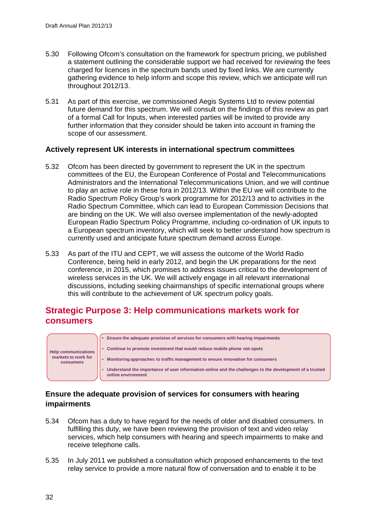- 5.30 Following Ofcom's consultation on the framework for spectrum pricing, we published a statement outlining the considerable support we had received for reviewing the fees charged for licences in the spectrum bands used by fixed links. We are currently gathering evidence to help inform and scope this review, which we anticipate will run throughout 2012/13.
- 5.31 As part of this exercise, we commissioned Aegis Systems Ltd to review potential future demand for this spectrum. We will consult on the findings of this review as part of a formal Call for Inputs, when interested parties will be invited to provide any further information that they consider should be taken into account in framing the scope of our assessment.

## **Actively represent UK interests in international spectrum committees**

- 5.32 Ofcom has been directed by government to represent the UK in the spectrum committees of the EU, the European Conference of Postal and Telecommunications Administrators and the International Telecommunications Union, and we will continue to play an active role in these fora in 2012/13. Within the EU we will contribute to the Radio Spectrum Policy Group's work programme for 2012/13 and to activities in the Radio Spectrum Committee, which can lead to European Commission Decisions that are binding on the UK. We will also oversee implementation of the newly-adopted European Radio Spectrum Policy Programme, including co-ordination of UK inputs to a European spectrum inventory, which will seek to better understand how spectrum is currently used and anticipate future spectrum demand across Europe.
- 5.33 As part of the ITU and CEPT, we will assess the outcome of the World Radio Conference, being held in early 2012, and begin the UK preparations for the next conference, in 2015, which promises to address issues critical to the development of wireless services in the UK. We will actively engage in all relevant international discussions, including seeking chairmanships of specific international groups where this will contribute to the achievement of UK spectrum policy goals.

# **Strategic Purpose 3: Help communications markets work for consumers**



## **Ensure the adequate provision of services for consumers with hearing impairments**

- 5.34 Ofcom has a duty to have regard for the needs of older and disabled consumers. In fulfilling this duty, we have been reviewing the provision of text and video relay services, which help consumers with hearing and speech impairments to make and receive telephone calls.
- 5.35 In July 2011 we published a consultation which proposed enhancements to the text relay service to provide a more natural flow of conversation and to enable it to be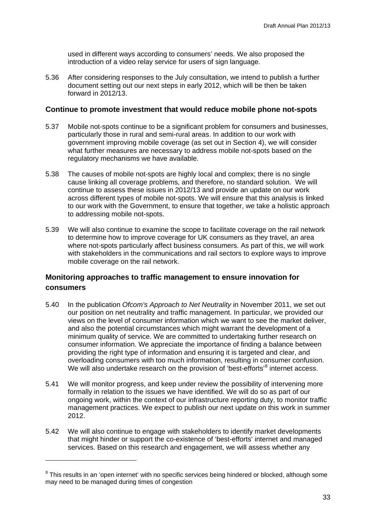used in different ways according to consumers' needs. We also proposed the introduction of a video relay service for users of sign language.

5.36 After considering responses to the July consultation, we intend to publish a further document setting out our next steps in early 2012, which will be then be taken forward in 2012/13.

#### **Continue to promote investment that would reduce mobile phone not-spots**

- 5.37 Mobile not-spots continue to be a significant problem for consumers and businesses, particularly those in rural and semi-rural areas. In addition to our work with government improving mobile coverage (as set out in Section 4), we will consider what further measures are necessary to address mobile not-spots based on the regulatory mechanisms we have available.
- 5.38 The causes of mobile not-spots are highly local and complex; there is no single cause linking all coverage problems, and therefore, no standard solution. We will continue to assess these issues in 2012/13 and provide an update on our work across different types of mobile not-spots. We will ensure that this analysis is linked to our work with the Government, to ensure that together, we take a holistic approach to addressing mobile not-spots.
- 5.39 We will also continue to examine the scope to facilitate coverage on the rail network to determine how to improve coverage for UK consumers as they travel, an area where not-spots particularly affect business consumers. As part of this, we will work with stakeholders in the communications and rail sectors to explore ways to improve mobile coverage on the rail network.

## **Monitoring approaches to traffic management to ensure innovation for consumers**

- 5.40 In the publication *Ofcom's Approach to Net Neutrality* in November 2011, we set out our position on net neutrality and traffic management. In particular, we provided our views on the level of consumer information which we want to see the market deliver, and also the potential circumstances which might warrant the development of a minimum quality of service. We are committed to undertaking further research on consumer information. We appreciate the importance of finding a balance between providing the right type of information and ensuring it is targeted and clear, and overloading consumers with too much information, resulting in consumer confusion. We will also undertake research on the provision of 'best-efforts'<sup>[8](#page-35-0)</sup> internet access.
- 5.41 We will monitor progress, and keep under review the possibility of intervening more formally in relation to the issues we have identified. We will do so as part of our ongoing work, within the context of our infrastructure reporting duty, to monitor traffic management practices. We expect to publish our next update on this work in summer 2012.
- 5.42 We will also continue to engage with stakeholders to identify market developments that might hinder or support the co-existence of 'best-efforts' internet and managed services. Based on this research and engagement, we will assess whether any

-

<span id="page-35-0"></span><sup>&</sup>lt;sup>8</sup> This results in an 'open internet' with no specific services being hindered or blocked, although some may need to be managed during times of congestion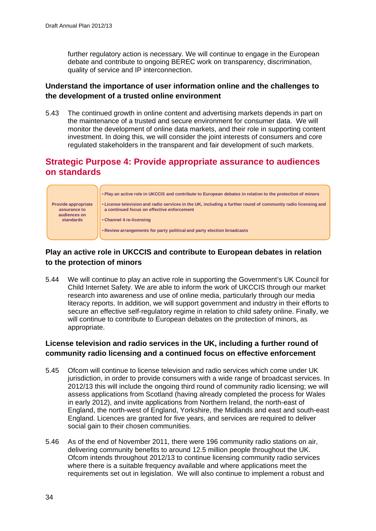further regulatory action is necessary. We will continue to engage in the European debate and contribute to ongoing BEREC work on transparency, discrimination, quality of service and IP interconnection.

## **Understand the importance of user information online and the challenges to the development of a trusted online environment**

5.43 The continued growth in online content and advertising markets depends in part on the maintenance of a trusted and secure environment for consumer data. We will monitor the development of online data markets, and their role in supporting content investment. In doing this, we will consider the joint interests of consumers and core regulated stakeholders in the transparent and fair development of such markets.

# **Strategic Purpose 4: Provide appropriate assurance to audiences on standards**



## **Play an active role in UKCCIS and contribute to European debates in relation to the protection of minors**

5.44 We will continue to play an active role in supporting the Government's UK Council for Child Internet Safety. We are able to inform the work of UKCCIS through our market research into awareness and use of online media, particularly through our media literacy reports. In addition, we will support government and industry in their efforts to secure an effective self-regulatory regime in relation to child safety online. Finally, we will continue to contribute to European debates on the protection of minors, as appropriate.

## **License television and radio services in the UK, including a further round of community radio licensing and a continued focus on effective enforcement**

- 5.45 Ofcom will continue to license television and radio services which come under UK jurisdiction, in order to provide consumers with a wide range of broadcast services. In 2012/13 this will include the ongoing third round of community radio licensing; we will assess applications from Scotland (having already completed the process for Wales in early 2012), and invite applications from Northern Ireland, the north-east of England, the north-west of England, Yorkshire, the Midlands and east and south-east England. Licences are granted for five years, and services are required to deliver social gain to their chosen communities.
- 5.46 As of the end of November 2011, there were 196 community radio stations on air, delivering community benefits to around 12.5 million people throughout the UK. Ofcom intends throughout 2012/13 to continue licensing community radio services where there is a suitable frequency available and where applications meet the requirements set out in legislation. We will also continue to implement a robust and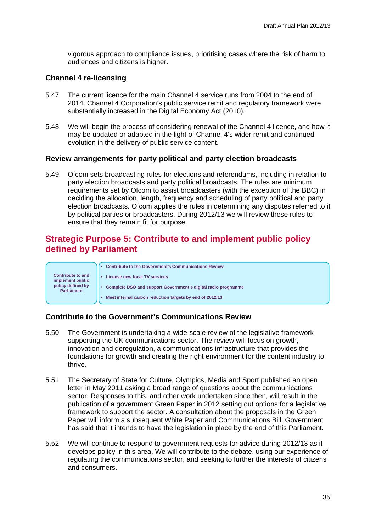vigorous approach to compliance issues, prioritising cases where the risk of harm to audiences and citizens is higher.

#### **Channel 4 re-licensing**

- 5.47 The current licence for the main Channel 4 service runs from 2004 to the end of 2014. Channel 4 Corporation's public service remit and regulatory framework were substantially increased in the Digital Economy Act (2010).
- 5.48 We will begin the process of considering renewal of the Channel 4 licence, and how it may be updated or adapted in the light of Channel 4's wider remit and continued evolution in the delivery of public service content.

#### **Review arrangements for party political and party election broadcasts**

5.49 Ofcom sets broadcasting rules for elections and referendums, including in relation to party election broadcasts and party political broadcasts. The rules are minimum requirements set by Ofcom to assist broadcasters (with the exception of the BBC) in deciding the allocation, length, frequency and scheduling of party political and party election broadcasts. Ofcom applies the rules in determining any disputes referred to it by political parties or broadcasters. During 2012/13 we will review these rules to ensure that they remain fit for purpose.

# **Strategic Purpose 5: Contribute to and implement public policy defined by Parliament**



## **Contribute to the Government's Communications Review**

- 5.50 The Government is undertaking a wide-scale review of the legislative framework supporting the UK communications sector. The review will focus on growth, innovation and deregulation, a communications infrastructure that provides the foundations for growth and creating the right environment for the content industry to thrive.
- 5.51 The Secretary of State for Culture, Olympics, Media and Sport published an open letter in May 2011 asking a broad range of questions about the communications sector. Responses to this, and other work undertaken since then, will result in the publication of a government Green Paper in 2012 setting out options for a legislative framework to support the sector. A consultation about the proposals in the Green Paper will inform a subsequent White Paper and Communications Bill. Government has said that it intends to have the legislation in place by the end of this Parliament.
- 5.52 We will continue to respond to government requests for advice during 2012/13 as it develops policy in this area. We will contribute to the debate, using our experience of regulating the communications sector, and seeking to further the interests of citizens and consumers.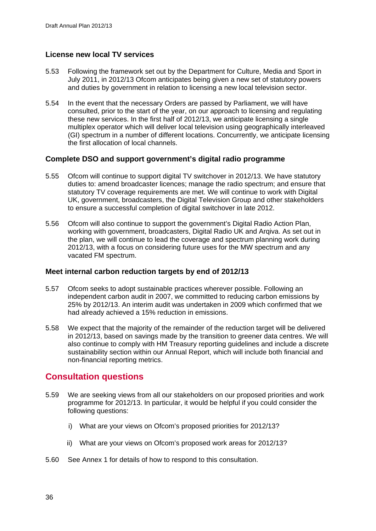## **License new local TV services**

- 5.53 Following the framework set out by the Department for Culture, Media and Sport in July 2011, in 2012/13 Ofcom anticipates being given a new set of statutory powers and duties by government in relation to licensing a new local television sector.
- 5.54 In the event that the necessary Orders are passed by Parliament, we will have consulted, prior to the start of the year, on our approach to licensing and regulating these new services. In the first half of 2012/13, we anticipate licensing a single multiplex operator which will deliver local television using geographically interleaved (GI) spectrum in a number of different locations. Concurrently, we anticipate licensing the first allocation of local channels.

## **Complete DSO and support government's digital radio programme**

- 5.55 Ofcom will continue to support digital TV switchover in 2012/13. We have statutory duties to: amend broadcaster licences; manage the radio spectrum; and ensure that statutory TV coverage requirements are met. We will continue to work with Digital UK, government, broadcasters, the Digital Television Group and other stakeholders to ensure a successful completion of digital switchover in late 2012.
- 5.56 Ofcom will also continue to support the government's Digital Radio Action Plan, working with government, broadcasters, Digital Radio UK and Argiva. As set out in the plan, we will continue to lead the coverage and spectrum planning work during 2012/13, with a focus on considering future uses for the MW spectrum and any vacated FM spectrum.

## **Meet internal carbon reduction targets by end of 2012/13**

- 5.57 Ofcom seeks to adopt sustainable practices wherever possible. Following an independent carbon audit in 2007, we committed to reducing carbon emissions by 25% by 2012/13. An interim audit was undertaken in 2009 which confirmed that we had already achieved a 15% reduction in emissions.
- 5.58 We expect that the majority of the remainder of the reduction target will be delivered in 2012/13, based on savings made by the transition to greener data centres. We will also continue to comply with HM Treasury reporting guidelines and include a discrete sustainability section within our Annual Report, which will include both financial and non-financial reporting metrics.

# **Consultation questions**

- 5.59 We are seeking views from all our stakeholders on our proposed priorities and work programme for 2012/13. In particular, it would be helpful if you could consider the following questions:
	- i) What are your views on Ofcom's proposed priorities for 2012/13?
	- ii) What are your views on Ofcom's proposed work areas for 2012/13?
- 5.60 See Annex 1 for details of how to respond to this consultation.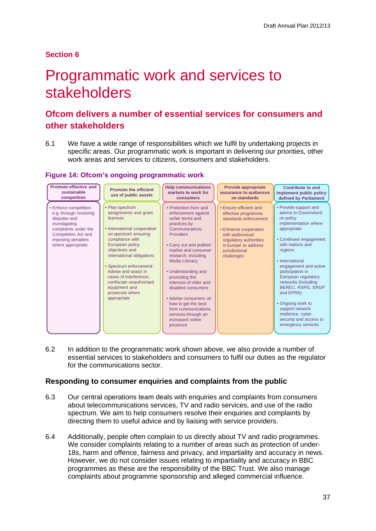## **Section 6**

# <span id="page-39-0"></span>Programmatic work and services to stakeholders

# **Ofcom delivers a number of essential services for consumers and other stakeholders**

6.1 We have a wide range of responsibilities which we fulfil by undertaking projects in specific areas. Our programmatic work is important in delivering our priorities, other work areas and services to citizens, consumers and stakeholders.

## **Figure 14: Ofcom's ongoing programmatic work**

| Promote effective and<br>sustainable<br>competition                                                                                                                               | <b>Promote the efficient</b><br>use of public assets                                                                                                                                                                                                                                                                                                        | <b>Help communications</b><br>markets to work for<br><b>consumers</b>                                                                                                                                                                                                                                                                                                                                                                          | <b>Provide appropriate</b><br>assurance to audiences<br>on standards                                                                                                                                         | <b>Contribute to and</b><br>implement public policy<br>defined by Parliament                                                                                                                                                                                                                                                                                                                                            |
|-----------------------------------------------------------------------------------------------------------------------------------------------------------------------------------|-------------------------------------------------------------------------------------------------------------------------------------------------------------------------------------------------------------------------------------------------------------------------------------------------------------------------------------------------------------|------------------------------------------------------------------------------------------------------------------------------------------------------------------------------------------------------------------------------------------------------------------------------------------------------------------------------------------------------------------------------------------------------------------------------------------------|--------------------------------------------------------------------------------------------------------------------------------------------------------------------------------------------------------------|-------------------------------------------------------------------------------------------------------------------------------------------------------------------------------------------------------------------------------------------------------------------------------------------------------------------------------------------------------------------------------------------------------------------------|
| • Enforce competition<br>e.g. through resolving<br>disputes and<br>investigating<br>complaints under the<br><b>Competition Act and</b><br>imposing penalties<br>where appropriate | • Plan spectrum<br>assignments and grant<br>licences<br>• International cooperation<br>on spectrum ensuring<br>compliance with<br>European policy<br>objectives and<br>international obligations<br>• Spectrum enforcement:<br>Advise and assist in<br>cases of interference,<br>confiscate unauthorised<br>equipment and<br>prosecute where<br>appropriate | • Protection from and<br>enforcement against<br>unfair terms and<br>practices by<br>Communications<br><b>Providers</b><br>• Carry out and publish<br>market and consumer<br>research, including<br><b>Media Literacy</b><br>• Understanding and<br>promoting the<br>interests of older and<br>disabled consumers<br>• Advise consumers on<br>how to get the best<br>from communications<br>services through an<br>increased online<br>presence | • Ensure efficient and<br>effective programme<br>standards enforcement<br><b>• Enhance cooperation</b><br>with audiovisual<br>regulatory authorities<br>in Europe to address<br>jurisdictional<br>challenges | • Provide support and<br>advice to Government<br>on policy<br>implementation where<br>appropriate<br>• Continued engagement<br>with nations and<br>regions<br>• International<br>engagement and active<br>participation in<br>European regulatory<br>networks (including<br>BEREC, RSPG, ERGP<br>and EPRA)<br>• Ongoing work to<br>support network<br>resilience, cyber<br>security and access to<br>emergency services |

6.2 In addition to the programmatic work shown above, we also provide a number of essential services to stakeholders and consumers to fulfil our duties as the regulator for the communications sector.

## **Responding to consumer enquiries and complaints from the public**

- 6.3 Our central operations team deals with enquiries and complaints from consumers about telecommunications services, TV and radio services, and use of the radio spectrum. We aim to help consumers resolve their enquiries and complaints by directing them to useful advice and by liaising with service providers.
- 6.4 Additionally, people often complain to us directly about TV and radio programmes. We consider complaints relating to a number of areas such as protection of under-18s, harm and offence, fairness and privacy, and impartiality and accuracy in news. However, we do not consider issues relating to impartiality and accuracy in BBC programmes as these are the responsibility of the BBC Trust. We also manage complaints about programme sponsorship and alleged commercial influence.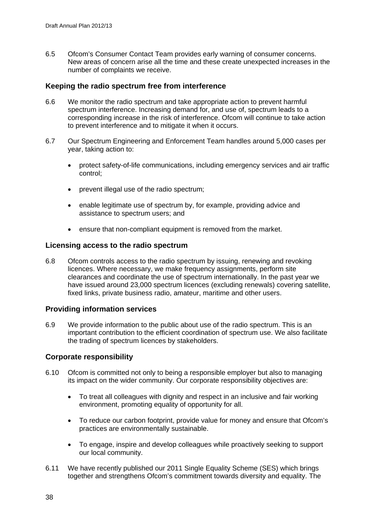6.5 Ofcom's Consumer Contact Team provides early warning of consumer concerns. New areas of concern arise all the time and these create unexpected increases in the number of complaints we receive.

## **Keeping the radio spectrum free from interference**

- 6.6 We monitor the radio spectrum and take appropriate action to prevent harmful spectrum interference. Increasing demand for, and use of, spectrum leads to a corresponding increase in the risk of interference. Ofcom will continue to take action to prevent interference and to mitigate it when it occurs.
- 6.7 Our Spectrum Engineering and Enforcement Team handles around 5,000 cases per year, taking action to:
	- protect safety-of-life communications, including emergency services and air traffic control;
	- prevent illegal use of the radio spectrum:
	- enable legitimate use of spectrum by, for example, providing advice and assistance to spectrum users; and
	- ensure that non-compliant equipment is removed from the market.

## **Licensing access to the radio spectrum**

6.8 Ofcom controls access to the radio spectrum by issuing, renewing and revoking licences. Where necessary, we make frequency assignments, perform site clearances and coordinate the use of spectrum internationally. In the past year we have issued around 23,000 spectrum licences (excluding renewals) covering satellite, fixed links, private business radio, amateur, maritime and other users.

## **Providing information services**

6.9 We provide information to the public about use of the radio spectrum. This is an important contribution to the efficient coordination of spectrum use. We also facilitate the trading of spectrum licences by stakeholders.

## **Corporate responsibility**

- 6.10 Ofcom is committed not only to being a responsible employer but also to managing its impact on the wider community. Our corporate responsibility objectives are:
	- To treat all colleagues with dignity and respect in an inclusive and fair working environment, promoting equality of opportunity for all.
	- To reduce our carbon footprint, provide value for money and ensure that Ofcom's practices are environmentally sustainable.
	- To engage, inspire and develop colleagues while proactively seeking to support our local community.
- 6.11 We have recently published our 2011 Single Equality Scheme (SES) which brings together and strengthens Ofcom's commitment towards diversity and equality. The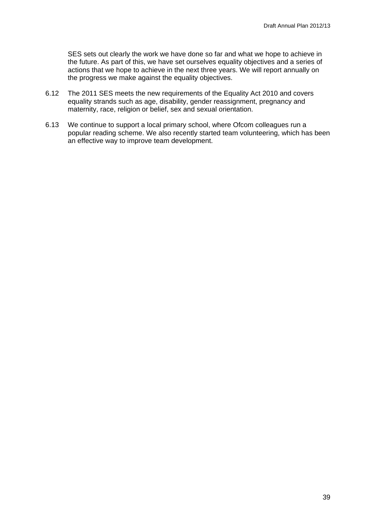SES sets out clearly the work we have done so far and what we hope to achieve in the future. As part of this, we have set ourselves equality objectives and a series of actions that we hope to achieve in the next three years. We will report annually on the progress we make against the equality objectives.

- 6.12 The 2011 SES meets the new requirements of the Equality Act 2010 and covers equality strands such as age, disability, gender reassignment, pregnancy and maternity, race, religion or belief, sex and sexual orientation.
- 6.13 We continue to support a local primary school, where Ofcom colleagues run a popular reading scheme. We also recently started team volunteering, which has been an effective way to improve team development.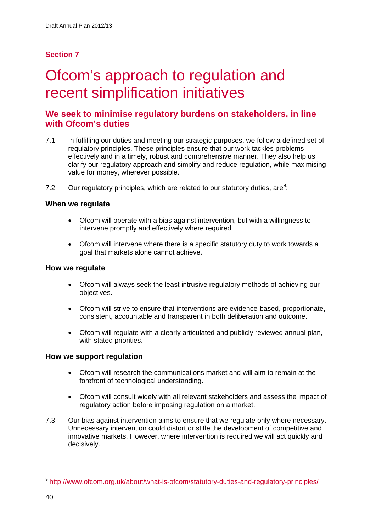## **Section 7**

# <span id="page-42-0"></span>Ofcom's approach to regulation and recent simplification initiatives

# **We seek to minimise regulatory burdens on stakeholders, in line with Ofcom's duties**

- 7.1 In fulfilling our duties and meeting our strategic purposes, we follow a defined set of regulatory principles. These principles ensure that our work tackles problems effectively and in a timely, robust and comprehensive manner. They also help us clarify our regulatory approach and simplify and reduce regulation, while maximising value for money, wherever possible.
- 7.2 Our regulatory principles, which are related to our statutory duties, are $9$ :

## **When we regulate**

- Ofcom will operate with a bias against intervention, but with a willingness to intervene promptly and effectively where required.
- Ofcom will intervene where there is a specific statutory duty to work towards a goal that markets alone cannot achieve.

### **How we regulate**

- Ofcom will always seek the least intrusive regulatory methods of achieving our objectives.
- Ofcom will strive to ensure that interventions are evidence-based, proportionate, consistent, accountable and transparent in both deliberation and outcome.
- Ofcom will regulate with a clearly articulated and publicly reviewed annual plan, with stated priorities.

## **How we support regulation**

- Ofcom will research the communications market and will aim to remain at the forefront of technological understanding.
- Ofcom will consult widely with all relevant stakeholders and assess the impact of regulatory action before imposing regulation on a market.
- 7.3 Our bias against intervention aims to ensure that we regulate only where necessary. Unnecessary intervention could distort or stifle the development of competitive and innovative markets. However, where intervention is required we will act quickly and decisively.

-

<span id="page-42-1"></span><sup>&</sup>lt;sup>9</sup> <http://www.ofcom.org.uk/about/what-is-ofcom/statutory-duties-and-regulatory-principles/>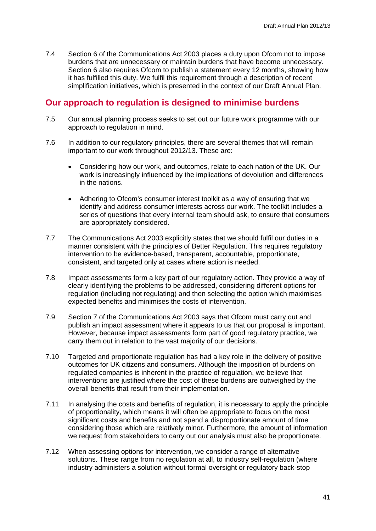7.4 Section 6 of the Communications Act 2003 places a duty upon Ofcom not to impose burdens that are unnecessary or maintain burdens that have become unnecessary. Section 6 also requires Ofcom to publish a statement every 12 months, showing how it has fulfilled this duty. We fulfil this requirement through a description of recent simplification initiatives, which is presented in the context of our Draft Annual Plan.

## **Our approach to regulation is designed to minimise burdens**

- 7.5 Our annual planning process seeks to set out our future work programme with our approach to regulation in mind.
- 7.6 In addition to our regulatory principles, there are several themes that will remain important to our work throughout 2012/13. These are:
	- Considering how our work, and outcomes, relate to each nation of the UK. Our work is increasingly influenced by the implications of devolution and differences in the nations.
	- Adhering to Ofcom's consumer interest toolkit as a way of ensuring that we identify and address consumer interests across our work. The toolkit includes a series of questions that every internal team should ask, to ensure that consumers are appropriately considered.
- 7.7 The Communications Act 2003 explicitly states that we should fulfil our duties in a manner consistent with the principles of Better Regulation. This requires regulatory intervention to be evidence-based, transparent, accountable, proportionate, consistent, and targeted only at cases where action is needed.
- 7.8 Impact assessments form a key part of our regulatory action. They provide a way of clearly identifying the problems to be addressed, considering different options for regulation (including not regulating) and then selecting the option which maximises expected benefits and minimises the costs of intervention.
- 7.9 Section 7 of the Communications Act 2003 says that Ofcom must carry out and publish an impact assessment where it appears to us that our proposal is important. However, because impact assessments form part of good regulatory practice, we carry them out in relation to the vast majority of our decisions.
- 7.10 Targeted and proportionate regulation has had a key role in the delivery of positive outcomes for UK citizens and consumers. Although the imposition of burdens on regulated companies is inherent in the practice of regulation, we believe that interventions are justified where the cost of these burdens are outweighed by the overall benefits that result from their implementation.
- 7.11 In analysing the costs and benefits of regulation, it is necessary to apply the principle of proportionality, which means it will often be appropriate to focus on the most significant costs and benefits and not spend a disproportionate amount of time considering those which are relatively minor. Furthermore, the amount of information we request from stakeholders to carry out our analysis must also be proportionate.
- 7.12 When assessing options for intervention, we consider a range of alternative solutions. These range from no regulation at all, to industry self-regulation (where industry administers a solution without formal oversight or regulatory back-stop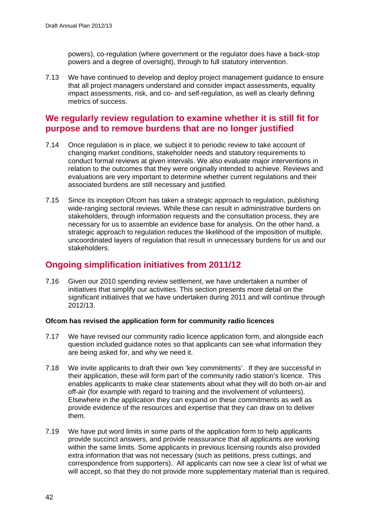powers), co-regulation (where government or the regulator does have a back-stop powers and a degree of oversight), through to full statutory intervention.

7.13 We have continued to develop and deploy project management guidance to ensure that all project managers understand and consider impact assessments, equality impact assessments, risk, and co- and self-regulation, as well as clearly defining metrics of success.

# **We regularly review regulation to examine whether it is still fit for purpose and to remove burdens that are no longer justified**

- 7.14 Once regulation is in place, we subject it to periodic review to take account of changing market conditions, stakeholder needs and statutory requirements to conduct formal reviews at given intervals. We also evaluate major interventions in relation to the outcomes that they were originally intended to achieve. Reviews and evaluations are very important to determine whether current regulations and their associated burdens are still necessary and justified.
- 7.15 Since its inception Ofcom has taken a strategic approach to regulation, publishing wide-ranging sectoral reviews. While these can result in administrative burdens on stakeholders, through information requests and the consultation process, they are necessary for us to assemble an evidence base for analysis. On the other hand, a strategic approach to regulation reduces the likelihood of the imposition of multiple, uncoordinated layers of regulation that result in unnecessary burdens for us and our stakeholders.

# **Ongoing simplification initiatives from 2011/12**

7.16 Given our 2010 spending review settlement, we have undertaken a number of initiatives that simplify our activities. This section presents more detail on the significant initiatives that we have undertaken during 2011 and will continue through 2012/13.

## **Ofcom has revised the application form for community radio licences**

- 7.17 We have revised our community radio licence application form, and alongside each question included guidance notes so that applicants can see what information they are being asked for, and why we need it.
- 7.18 We invite applicants to draft their own 'key commitments'. If they are successful in their application, these will form part of the community radio station's licence. This enables applicants to make clear statements about what they will do both on-air and off-air (for example with regard to training and the involvement of volunteers). Elsewhere in the application they can expand on these commitments as well as provide evidence of the resources and expertise that they can draw on to deliver them.
- 7.19 We have put word limits in some parts of the application form to help applicants provide succinct answers, and provide reassurance that all applicants are working within the same limits. Some applicants in previous licensing rounds also provided extra information that was not necessary (such as petitions, press cuttings, and correspondence from supporters). All applicants can now see a clear list of what we will accept, so that they do not provide more supplementary material than is required.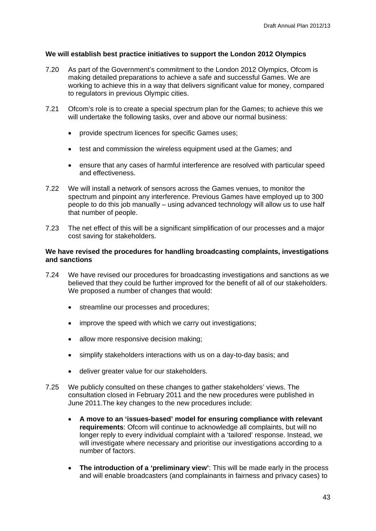### **We will establish best practice initiatives to support the London 2012 Olympics**

- 7.20 As part of the Government's commitment to the London 2012 Olympics, Ofcom is making detailed preparations to achieve a safe and successful Games. We are working to achieve this in a way that delivers significant value for money, compared to regulators in previous Olympic cities.
- 7.21 Ofcom's role is to create a special spectrum plan for the Games; to achieve this we will undertake the following tasks, over and above our normal business:
	- provide spectrum licences for specific Games uses;
	- test and commission the wireless equipment used at the Games; and
	- ensure that any cases of harmful interference are resolved with particular speed and effectiveness.
- 7.22 We will install a network of sensors across the Games venues, to monitor the spectrum and pinpoint any interference. Previous Games have employed up to 300 people to do this job manually – using advanced technology will allow us to use half that number of people.
- 7.23 The net effect of this will be a significant simplification of our processes and a major cost saving for stakeholders.

### **We have revised the procedures for handling broadcasting complaints, investigations and sanctions**

- 7.24 We have revised our procedures for broadcasting investigations and sanctions as we believed that they could be further improved for the benefit of all of our stakeholders. We proposed a number of changes that would:
	- streamline our processes and procedures;
	- improve the speed with which we carry out investigations:
	- allow more responsive decision making:
	- simplify stakeholders interactions with us on a day-to-day basis; and
	- deliver greater value for our stakeholders.
- 7.25 We publicly consulted on these changes to gather stakeholders' views. The consultation closed in February 2011 and the new procedures were published in June 2011.The key changes to the new procedures include:
	- **A move to an 'issues-based' model for ensuring compliance with relevant requirements**: Ofcom will continue to acknowledge all complaints, but will no longer reply to every individual complaint with a 'tailored' response. Instead, we will investigate where necessary and prioritise our investigations according to a number of factors.
	- **The introduction of a 'preliminary view'**: This will be made early in the process and will enable broadcasters (and complainants in fairness and privacy cases) to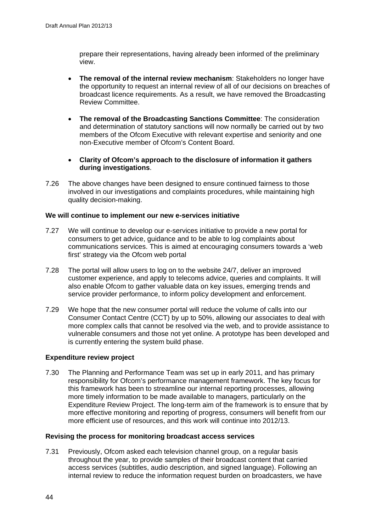prepare their representations, having already been informed of the preliminary view.

- **The removal of the internal review mechanism**: Stakeholders no longer have the opportunity to request an internal review of all of our decisions on breaches of broadcast licence requirements. As a result, we have removed the Broadcasting Review Committee.
- **The removal of the Broadcasting Sanctions Committee**: The consideration and determination of statutory sanctions will now normally be carried out by two members of the Ofcom Executive with relevant expertise and seniority and one non-Executive member of Ofcom's Content Board.
- **Clarity of Ofcom's approach to the disclosure of information it gathers during investigations**.
- 7.26 The above changes have been designed to ensure continued fairness to those involved in our investigations and complaints procedures, while maintaining high quality decision-making.

#### **We will continue to implement our new e-services initiative**

- 7.27 We will continue to develop our e-services initiative to provide a new portal for consumers to get advice, guidance and to be able to log complaints about communications services. This is aimed at encouraging consumers towards a 'web first' strategy via the Ofcom web portal
- 7.28 The portal will allow users to log on to the website 24/7, deliver an improved customer experience, and apply to telecoms advice, queries and complaints. It will also enable Ofcom to gather valuable data on key issues, emerging trends and service provider performance, to inform policy development and enforcement.
- 7.29 We hope that the new consumer portal will reduce the volume of calls into our Consumer Contact Centre (CCT) by up to 50%, allowing our associates to deal with more complex calls that cannot be resolved via the web, and to provide assistance to vulnerable consumers and those not yet online. A prototype has been developed and is currently entering the system build phase.

#### **Expenditure review project**

7.30 The Planning and Performance Team was set up in early 2011, and has primary responsibility for Ofcom's performance management framework. The key focus for this framework has been to streamline our internal reporting processes, allowing more timely information to be made available to managers, particularly on the Expenditure Review Project. The long-term aim of the framework is to ensure that by more effective monitoring and reporting of progress, consumers will benefit from our more efficient use of resources, and this work will continue into 2012/13.

#### **Revising the process for monitoring broadcast access services**

7.31 Previously, Ofcom asked each television channel group, on a regular basis throughout the year, to provide samples of their broadcast content that carried access services (subtitles, audio description, and signed language). Following an internal review to reduce the information request burden on broadcasters, we have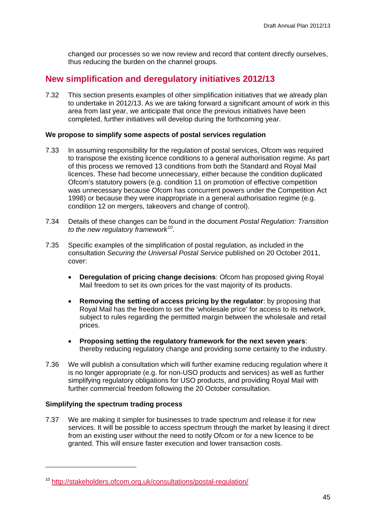changed our processes so we now review and record that content directly ourselves, thus reducing the burden on the channel groups.

## **New simplification and deregulatory initiatives 2012/13**

7.32 This section presents examples of other simplification initiatives that we already plan to undertake in 2012/13. As we are taking forward a significant amount of work in this area from last year, we anticipate that once the previous initiatives have been completed, further initiatives will develop during the forthcoming year.

### **We propose to simplify some aspects of postal services regulation**

- 7.33 In assuming responsibility for the regulation of postal services, Ofcom was required to transpose the existing licence conditions to a general authorisation regime. As part of this process we removed 13 conditions from both the Standard and Royal Mail licences. These had become unnecessary, either because the condition duplicated Ofcom's statutory powers (e.g. condition 11 on promotion of effective competition was unnecessary because Ofcom has concurrent powers under the Competition Act 1998) or because they were inappropriate in a general authorisation regime (e.g. condition 12 on mergers, takeovers and change of control).
- 7.34 Details of these changes can be found in the document *Postal Regulation: Transition to the new regulatory framework[10](#page-47-0)* .
- 7.35 Specific examples of the simplification of postal regulation, as included in the consultation *Securing the Universal Postal Service* published on 20 October 2011, cover:
	- **Deregulation of pricing change decisions**: Ofcom has proposed giving Royal Mail freedom to set its own prices for the vast majority of its products.
	- **Removing the setting of access pricing by the regulator**: by proposing that Royal Mail has the freedom to set the 'wholesale price' for access to its network, subject to rules regarding the permitted margin between the wholesale and retail prices.
	- **Proposing setting the regulatory framework for the next seven years**: thereby reducing regulatory change and providing some certainty to the industry.
- 7.36 We will publish a consultation which will further examine reducing regulation where it is no longer appropriate (e.g. for non-USO products and services) as well as further simplifying regulatory obligations for USO products, and providing Royal Mail with further commercial freedom following the 20 October consultation.

### **Simplifying the spectrum trading process**

-

7.37 We are making it simpler for businesses to trade spectrum and release it for new services. It will be possible to access spectrum through the market by leasing it direct from an existing user without the need to notify Ofcom or for a new licence to be granted. This will ensure faster execution and lower transaction costs.

<span id="page-47-0"></span><sup>10</sup> <http://stakeholders.ofcom.org.uk/consultations/postal-regulation/>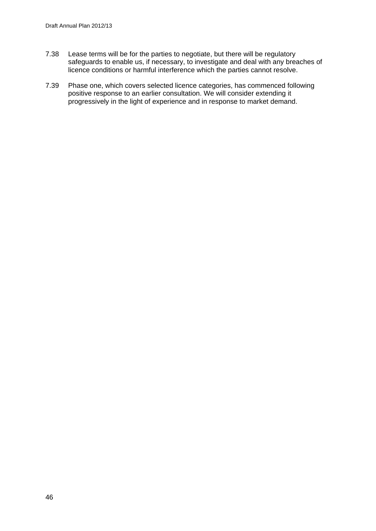- 7.38 Lease terms will be for the parties to negotiate, but there will be regulatory safeguards to enable us, if necessary, to investigate and deal with any breaches of licence conditions or harmful interference which the parties cannot resolve.
- 7.39 Phase one, which covers selected licence categories, has commenced following positive response to an earlier consultation. We will consider extending it progressively in the light of experience and in response to market demand.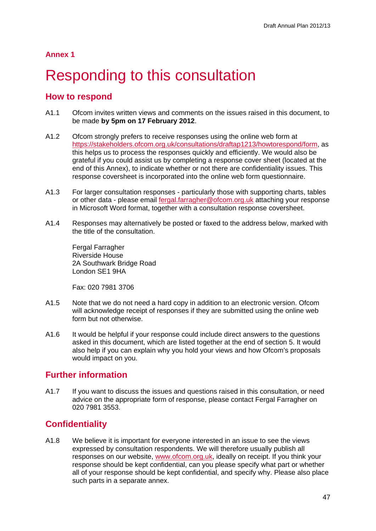## **Annex 1**

# <span id="page-49-0"></span>**Responding to this consultation**

# **How to respond**

- A1.1 Ofcom invites written views and comments on the issues raised in this document, to be made **by 5pm on 17 February 2012**.
- A1.2 Ofcom strongly prefers to receive responses using the online web form at [https://stakeholders.ofcom.org.uk/consultations/draftap1213/howtorespond/form,](https://stakeholders.ofcom.org.uk/consultations/draftap1213/howtorespond/form) as this helps us to process the responses quickly and efficiently. We would also be grateful if you could assist us by completing a response cover sheet (located at the end of this Annex), to indicate whether or not there are confidentiality issues. This response coversheet is incorporated into the online web form questionnaire.
- A1.3 For larger consultation responses particularly those with supporting charts, tables or other data - please email [fergal.farragher@ofcom.org.uk](mailto:fergal.farragher@ofcom.org.uk) attaching your response in Microsoft Word format, together with a consultation response coversheet.
- A1.4 Responses may alternatively be posted or faxed to the address below, marked with the title of the consultation.

Fergal Farragher Riverside House 2A Southwark Bridge Road London SE1 9HA

Fax: 020 7981 3706

- A1.5 Note that we do not need a hard copy in addition to an electronic version. Ofcom will acknowledge receipt of responses if they are submitted using the online web form but not otherwise.
- A1.6 It would be helpful if your response could include direct answers to the questions asked in this document, which are listed together at the end of section 5. It would also help if you can explain why you hold your views and how Ofcom's proposals would impact on you.

# **Further information**

A1.7 If you want to discuss the issues and questions raised in this consultation, or need advice on the appropriate form of response, please contact Fergal Farragher on 020 7981 3553.

# **Confidentiality**

A1.8 We believe it is important for everyone interested in an issue to see the views expressed by consultation respondents. We will therefore usually publish all responses on our website, [www.ofcom.org.uk,](http://www.ofcom.org.uk/) ideally on receipt. If you think your response should be kept confidential, can you please specify what part or whether all of your response should be kept confidential, and specify why. Please also place such parts in a separate annex.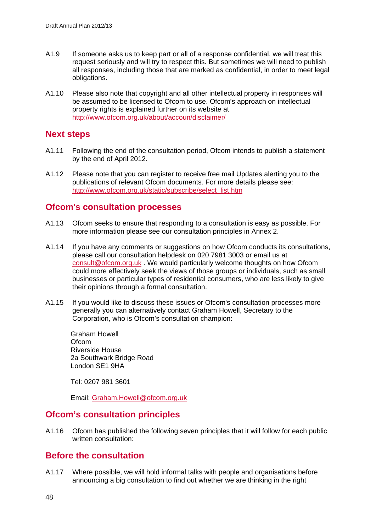- A1.9 If someone asks us to keep part or all of a response confidential, we will treat this request seriously and will try to respect this. But sometimes we will need to publish all responses, including those that are marked as confidential, in order to meet legal obligations.
- A1.10 Please also note that copyright and all other intellectual property in responses will be assumed to be licensed to Ofcom to use. Ofcom's approach on intellectual property rights is explained further on its website at <http://www.ofcom.org.uk/about/accoun/disclaimer/>

## **Next steps**

- A1.11 Following the end of the consultation period, Ofcom intends to publish a statement by the end of April 2012.
- A1.12 Please note that you can register to receive free mail Updates alerting you to the publications of relevant Ofcom documents. For more details please see: [http://www.ofcom.org.uk/static/subscribe/select\\_list.htm](http://www.ofcom.org.uk/static/subscribe/select_list.htm)

# **Ofcom's consultation processes**

- A1.13 Ofcom seeks to ensure that responding to a consultation is easy as possible. For more information please see our consultation principles in Annex 2.
- A1.14 If you have any comments or suggestions on how Ofcom conducts its consultations, please call our consultation helpdesk on 020 7981 3003 or email us at [consult@ofcom.org.uk](mailto:consult@ofcom.org.uk) . We would particularly welcome thoughts on how Ofcom could more effectively seek the views of those groups or individuals, such as small businesses or particular types of residential consumers, who are less likely to give their opinions through a formal consultation.
- A1.15 If you would like to discuss these issues or Ofcom's consultation processes more generally you can alternatively contact Graham Howell, Secretary to the Corporation, who is Ofcom's consultation champion:

Graham Howell **Ofcom** Riverside House 2a Southwark Bridge Road London SE1 9HA

Tel: 0207 981 3601

Email: [Graham.Howell@ofcom.org.uk](mailto:Graham.Howell@ofcom.org.uk)

# **Ofcom's consultation principles**

A1.16 Ofcom has published the following seven principles that it will follow for each public written consultation:

# **Before the consultation**

A1.17 Where possible, we will hold informal talks with people and organisations before announcing a big consultation to find out whether we are thinking in the right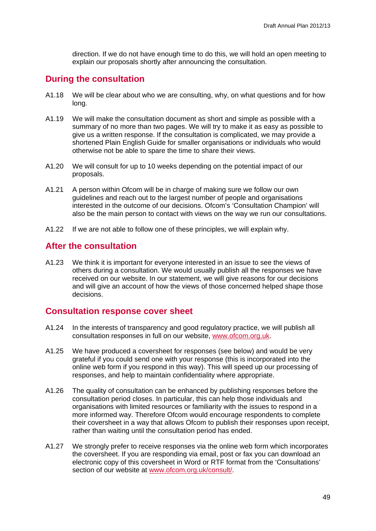direction. If we do not have enough time to do this, we will hold an open meeting to explain our proposals shortly after announcing the consultation.

## **During the consultation**

- A1.18 We will be clear about who we are consulting, why, on what questions and for how long.
- A1.19 We will make the consultation document as short and simple as possible with a summary of no more than two pages. We will try to make it as easy as possible to give us a written response. If the consultation is complicated, we may provide a shortened Plain English Guide for smaller organisations or individuals who would otherwise not be able to spare the time to share their views.
- A1.20 We will consult for up to 10 weeks depending on the potential impact of our proposals.
- A1.21 A person within Ofcom will be in charge of making sure we follow our own guidelines and reach out to the largest number of people and organisations interested in the outcome of our decisions. Ofcom's 'Consultation Champion' will also be the main person to contact with views on the way we run our consultations.
- A1.22 If we are not able to follow one of these principles, we will explain why.

## **After the consultation**

A1.23 We think it is important for everyone interested in an issue to see the views of others during a consultation. We would usually publish all the responses we have received on our website. In our statement, we will give reasons for our decisions and will give an account of how the views of those concerned helped shape those decisions.

## **Consultation response cover sheet**

- A1.24 In the interests of transparency and good regulatory practice, we will publish all consultation responses in full on our website, [www.ofcom.org.uk.](http://www.ofcom.org.uk/)
- A1.25 We have produced a coversheet for responses (see below) and would be very grateful if you could send one with your response (this is incorporated into the online web form if you respond in this way). This will speed up our processing of responses, and help to maintain confidentiality where appropriate.
- A1.26 The quality of consultation can be enhanced by publishing responses before the consultation period closes. In particular, this can help those individuals and organisations with limited resources or familiarity with the issues to respond in a more informed way. Therefore Ofcom would encourage respondents to complete their coversheet in a way that allows Ofcom to publish their responses upon receipt, rather than waiting until the consultation period has ended.
- A1.27 We strongly prefer to receive responses via the online web form which incorporates the coversheet. If you are responding via email, post or fax you can download an electronic copy of this coversheet in Word or RTF format from the 'Consultations' section of our website at [www.ofcom.org.uk/consult/.](http://www.ofcom.org.uk/consult/)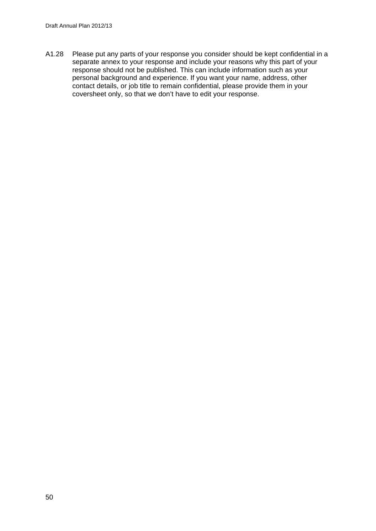A1.28 Please put any parts of your response you consider should be kept confidential in a separate annex to your response and include your reasons why this part of your response should not be published. This can include information such as your personal background and experience. If you want your name, address, other contact details, or job title to remain confidential, please provide them in your coversheet only, so that we don't have to edit your response.